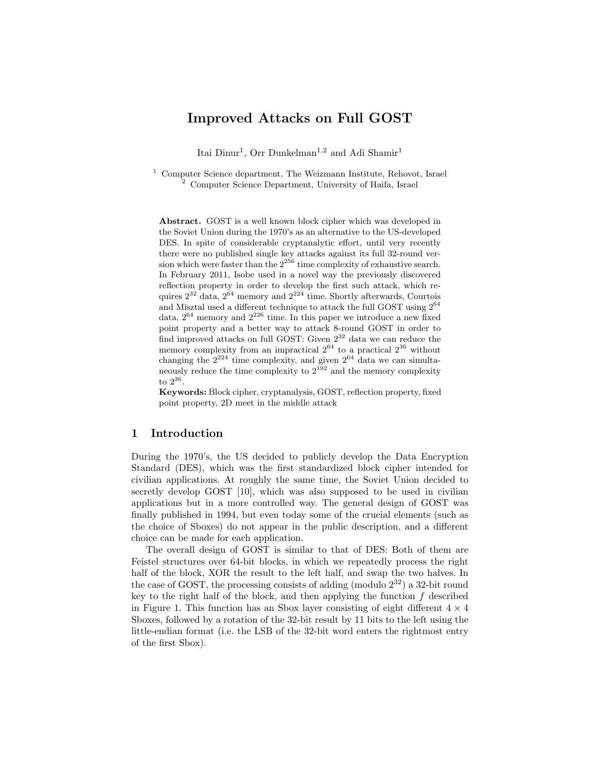# Improved Attacks on Full GOST

Itai Dinur<sup>1</sup>, Orr Dunkelman<sup>1,2</sup> and Adi Shamir<sup>1</sup>

<sup>1</sup> Computer Science department, The Weizmann Institute, Rehovot, Israel <sup>2</sup> Computer Science Department, University of Haifa, Israel

Abstract. GOST is a well known block cipher which was developed in the Soviet Union during the 1970's as an alternative to the US-developed DES. In spite of considerable cryptanalytic effort, until very recently there were no published single key attacks against its full 32-round version which were faster than the  $2^{256}$  time complexity of exhaustive search. In February 2011, Isobe used in a novel way the previously discovered reflection property in order to develop the first such attack, which requires  $2^{32}$  data,  $2^{64}$  memory and  $2^{224}$  time. Shortly afterwards, Courtois and Misztal used a different technique to attack the full GOST using 2<sup>64</sup> data,  $2^{64}$  memory and  $2^{226}$  time. In this paper we introduce a new fixed point property and a better way to attack 8-round GOST in order to find improved attacks on full GOST: Given  $2^{32}$  data we can reduce the memory complexity from an impractical  $2^{64}$  to a practical  $2^{36}$  without changing the  $2^{224}$  time complexity, and given  $2^{64}$  data we can simultaneously reduce the time complexity to  $2^{192}$  and the memory complexity to 2<sup>36</sup> .

Keywords: Block cipher, cryptanalysis, GOST, reflection property, fixed point property, 2D meet in the middle attack

# 1 Introduction

During the 1970's, the US decided to publicly develop the Data Encryption Standard (DES), which was the first standardized block cipher intended for civilian applications. At roughly the same time, the Soviet Union decided to secretly develop GOST [10], which was also supposed to be used in civilian applications but in a more controlled way. The general design of GOST was finally published in 1994, but even today some of the crucial elements (such as the choice of Sboxes) do not appear in the public description, and a different choice can be made for each application.

The overall design of GOST is similar to that of DES: Both of them are Feistel structures over 64-bit blocks, in which we repeatedly process the right half of the block, XOR the result to the left half, and swap the two halves. In the case of GOST, the processing consists of adding (modulo  $2^{32}$ ) a 32-bit round key to the right half of the block, and then applying the function  $f$  described in Figure 1. This function has an Sbox layer consisting of eight different  $4 \times 4$ Sboxes, followed by a rotation of the 32-bit result by 11 bits to the left using the little-endian format (i.e. the LSB of the 32-bit word enters the rightmost entry of the first Sbox).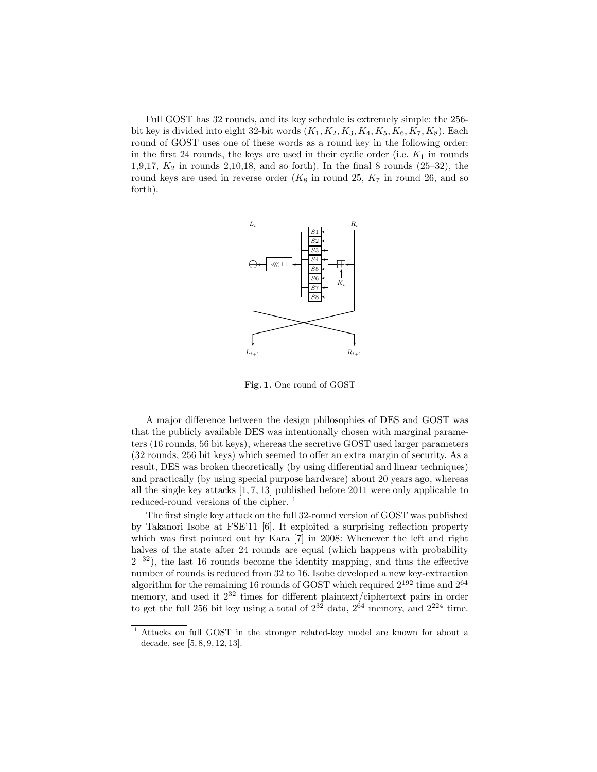Full GOST has 32 rounds, and its key schedule is extremely simple: the 256 bit key is divided into eight 32-bit words  $(K_1, K_2, K_3, K_4, K_5, K_6, K_7, K_8)$ . Each round of GOST uses one of these words as a round key in the following order: in the first 24 rounds, the keys are used in their cyclic order (i.e.  $K_1$  in rounds 1,9,17,  $K_2$  in rounds 2,10,18, and so forth). In the final 8 rounds (25–32), the round keys are used in reverse order  $(K_8$  in round 25,  $K_7$  in round 26, and so forth).



Fig. 1. One round of GOST

A major difference between the design philosophies of DES and GOST was that the publicly available DES was intentionally chosen with marginal parameters (16 rounds, 56 bit keys), whereas the secretive GOST used larger parameters (32 rounds, 256 bit keys) which seemed to offer an extra margin of security. As a result, DES was broken theoretically (by using differential and linear techniques) and practically (by using special purpose hardware) about 20 years ago, whereas all the single key attacks [1, 7, 13] published before 2011 were only applicable to reduced-round versions of the cipher.<sup>1</sup>

The first single key attack on the full 32-round version of GOST was published by Takanori Isobe at FSE'11 [6]. It exploited a surprising reflection property which was first pointed out by Kara [7] in 2008: Whenever the left and right halves of the state after 24 rounds are equal (which happens with probability  $2^{-32}$ ), the last 16 rounds become the identity mapping, and thus the effective number of rounds is reduced from 32 to 16. Isobe developed a new key-extraction algorithm for the remaining 16 rounds of GOST which required  $2^{192}$  time and  $2^{64}$ memory, and used it  $2^{32}$  times for different plaintext/ciphertext pairs in order to get the full 256 bit key using a total of  $2^{32}$  data,  $2^{64}$  memory, and  $2^{224}$  time.

<sup>1</sup> Attacks on full GOST in the stronger related-key model are known for about a decade, see [5, 8, 9, 12, 13].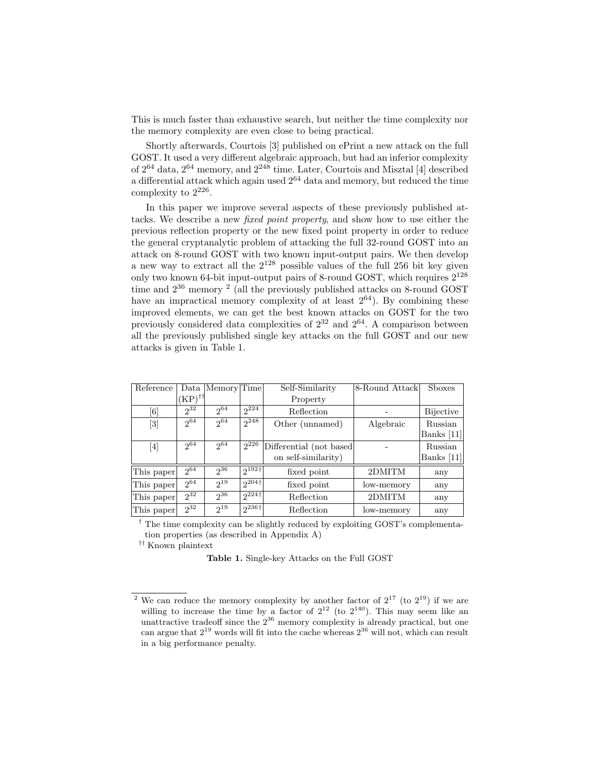This is much faster than exhaustive search, but neither the time complexity nor the memory complexity are even close to being practical.

Shortly afterwards, Courtois [3] published on ePrint a new attack on the full GOST. It used a very different algebraic approach, but had an inferior complexity of  $2^{64}$  data,  $2^{64}$  memory, and  $2^{248}$  time. Later, Courtois and Misztal [4] described a differential attack which again used  $2^{64}$  data and memory, but reduced the time complexity to  $2^{226}$ .

In this paper we improve several aspects of these previously published attacks. We describe a new fixed point property, and show how to use either the previous reflection property or the new fixed point property in order to reduce the general cryptanalytic problem of attacking the full 32-round GOST into an attack on 8-round GOST with two known input-output pairs. We then develop a new way to extract all the  $2^{128}$  possible values of the full 256 bit key given only two known 64-bit input-output pairs of 8-round GOST, which requires  $2^{128}$ time and  $2^{36}$  memory <sup>2</sup> (all the previously published attacks on 8-round GOST have an impractical memory complexity of at least  $2^{64}$ ). By combining these improved elements, we can get the best known attacks on GOST for the two previously considered data complexities of  $2^{32}$  and  $2^{64}$ . A comparison between all the previously published single key attacks on the full GOST and our new attacks is given in Table 1.

| Reference                    | Data                 | Memory Time |                        | Self-Similarity          | 8-Round Attack | <b>Sboxes</b>    |
|------------------------------|----------------------|-------------|------------------------|--------------------------|----------------|------------------|
|                              | $'KP)$ <sup>††</sup> |             |                        | Property                 |                |                  |
| $\left\lceil 6 \right\rceil$ | $2^{32}$             | $2^{64}$    | $2^{224}$              | Reflection               |                | <b>Bijective</b> |
| [3]                          | $2^{64}$             | $2^{64}$    | $2^{248}$              | Other (unnamed)          | Algebraic      | Russian          |
|                              |                      |             |                        |                          |                | Banks $[11]$     |
| [4]                          | $2^{64}$             | $2^{64}$    | $2^{226}$              | Differential (not based) |                | Russian          |
|                              |                      |             |                        | on self-similarity)      |                | Banks $[11]$     |
| This paper                   | $2^{64}$             | $2^{36}$    | $2^{192}$ <sup>†</sup> | fixed point              | 2DMITM         | any              |
| This paper                   | $2^{64}$             | $2^{19}$    | $2^{204\dagger}$       | fixed point              | low-memory     | any              |
| This paper                   | $2^{32}$             | $2^{36}$    | $2^{224\dagger}$       | Reflection               | 2DMITM         | any              |
| This paper                   | $2^{32}$             | $2^{19}$    | $2^{236+1}$            | Reflection               | low-memory     | any              |

† The time complexity can be slightly reduced by exploiting GOST's complementation properties (as described in Appendix A)

†† Known plaintext

Table 1. Single-key Attacks on the Full GOST

<sup>&</sup>lt;sup>2</sup> We can reduce the memory complexity by another factor of  $2^{17}$  (to  $2^{19}$ ) if we are willing to increase the time by a factor of  $2^{12}$  (to  $2^{140}$ ). This may seem like an unattractive tradeoff since the  $2^{36}$  memory complexity is already practical, but one can argue that  $2^{19}$  words will fit into the cache whereas  $2^{36}$  will not, which can result in a big performance penalty.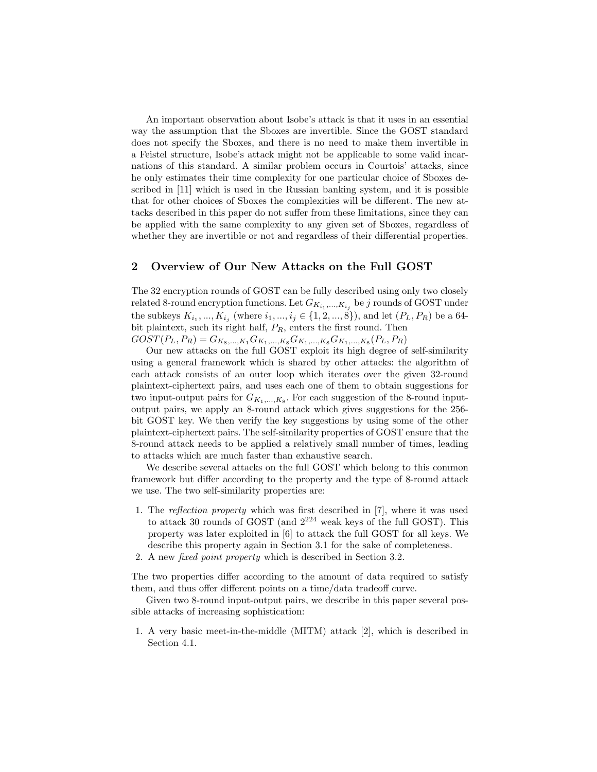An important observation about Isobe's attack is that it uses in an essential way the assumption that the Sboxes are invertible. Since the GOST standard does not specify the Sboxes, and there is no need to make them invertible in a Feistel structure, Isobe's attack might not be applicable to some valid incarnations of this standard. A similar problem occurs in Courtois' attacks, since he only estimates their time complexity for one particular choice of Sboxes described in [11] which is used in the Russian banking system, and it is possible that for other choices of Sboxes the complexities will be different. The new attacks described in this paper do not suffer from these limitations, since they can be applied with the same complexity to any given set of Sboxes, regardless of whether they are invertible or not and regardless of their differential properties.

### 2 Overview of Our New Attacks on the Full GOST

The 32 encryption rounds of GOST can be fully described using only two closely related 8-round encryption functions. Let  $G_{K_{i_1},...,K_{i_j}}$  be  $j$  rounds of GOST under the subkeys  $K_{i_1}, ..., K_{i_j}$  (where  $i_1, ..., i_j \in \{1, 2, ..., 8\}$ ), and let  $(P_L, P_R)$  be a 64bit plaintext, such its right half,  $P_R$ , enters the first round. Then  $GOST(P_L, P_R) = G_{K_8,...,K_1}G_{K_1,...,K_8}G_{K_1,...,K_8}G_{K_1,...,K_8}(P_L, P_R)$ 

Our new attacks on the full GOST exploit its high degree of self-similarity using a general framework which is shared by other attacks: the algorithm of each attack consists of an outer loop which iterates over the given 32-round plaintext-ciphertext pairs, and uses each one of them to obtain suggestions for two input-output pairs for  $G_{K_1,\ldots,K_8}$ . For each suggestion of the 8-round inputoutput pairs, we apply an 8-round attack which gives suggestions for the 256 bit GOST key. We then verify the key suggestions by using some of the other plaintext-ciphertext pairs. The self-similarity properties of GOST ensure that the 8-round attack needs to be applied a relatively small number of times, leading to attacks which are much faster than exhaustive search.

We describe several attacks on the full GOST which belong to this common framework but differ according to the property and the type of 8-round attack we use. The two self-similarity properties are:

- 1. The reflection property which was first described in [7], where it was used to attack 30 rounds of GOST (and  $2^{224}$  weak keys of the full GOST). This property was later exploited in [6] to attack the full GOST for all keys. We describe this property again in Section 3.1 for the sake of completeness.
- 2. A new fixed point property which is described in Section 3.2.

The two properties differ according to the amount of data required to satisfy them, and thus offer different points on a time/data tradeoff curve.

Given two 8-round input-output pairs, we describe in this paper several possible attacks of increasing sophistication:

1. A very basic meet-in-the-middle (MITM) attack [2], which is described in Section 4.1.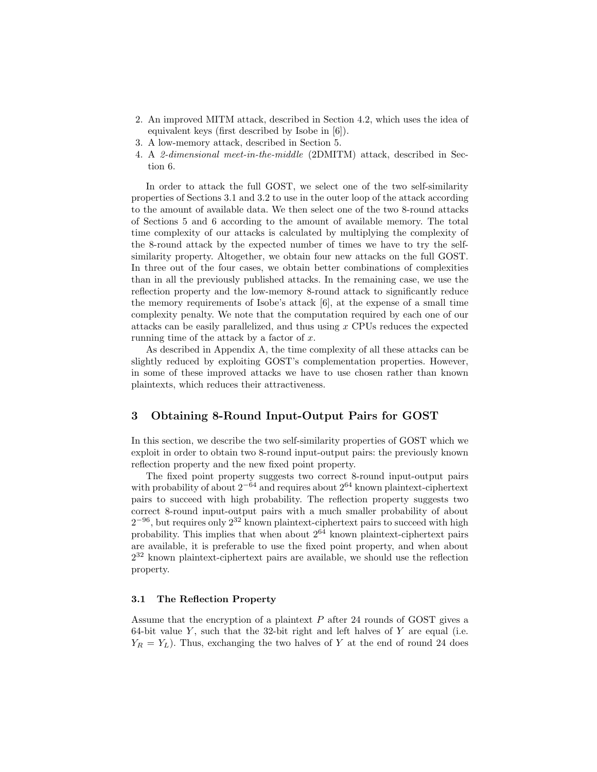- 2. An improved MITM attack, described in Section 4.2, which uses the idea of equivalent keys (first described by Isobe in [6]).
- 3. A low-memory attack, described in Section 5.
- 4. A 2-dimensional meet-in-the-middle (2DMITM) attack, described in Section 6.

In order to attack the full GOST, we select one of the two self-similarity properties of Sections 3.1 and 3.2 to use in the outer loop of the attack according to the amount of available data. We then select one of the two 8-round attacks of Sections 5 and 6 according to the amount of available memory. The total time complexity of our attacks is calculated by multiplying the complexity of the 8-round attack by the expected number of times we have to try the selfsimilarity property. Altogether, we obtain four new attacks on the full GOST. In three out of the four cases, we obtain better combinations of complexities than in all the previously published attacks. In the remaining case, we use the reflection property and the low-memory 8-round attack to significantly reduce the memory requirements of Isobe's attack [6], at the expense of a small time complexity penalty. We note that the computation required by each one of our attacks can be easily parallelized, and thus using x CPUs reduces the expected running time of the attack by a factor of  $x$ .

As described in Appendix A, the time complexity of all these attacks can be slightly reduced by exploiting GOST's complementation properties. However, in some of these improved attacks we have to use chosen rather than known plaintexts, which reduces their attractiveness.

## 3 Obtaining 8-Round Input-Output Pairs for GOST

In this section, we describe the two self-similarity properties of GOST which we exploit in order to obtain two 8-round input-output pairs: the previously known reflection property and the new fixed point property.

The fixed point property suggests two correct 8-round input-output pairs with probability of about  $2^{-64}$  and requires about  $2^{64}$  known plaintext-ciphertext pairs to succeed with high probability. The reflection property suggests two correct 8-round input-output pairs with a much smaller probability of about  $2^{-96}$ , but requires only  $2^{32}$  known plaintext-ciphertext pairs to succeed with high probability. This implies that when about  $2^{64}$  known plaintext-ciphertext pairs are available, it is preferable to use the fixed point property, and when about 2 <sup>32</sup> known plaintext-ciphertext pairs are available, we should use the reflection property.

#### 3.1 The Reflection Property

Assume that the encryption of a plaintext P after 24 rounds of GOST gives a 64-bit value  $Y$ , such that the 32-bit right and left halves of  $Y$  are equal (i.e.  $Y_R = Y_L$ ). Thus, exchanging the two halves of Y at the end of round 24 does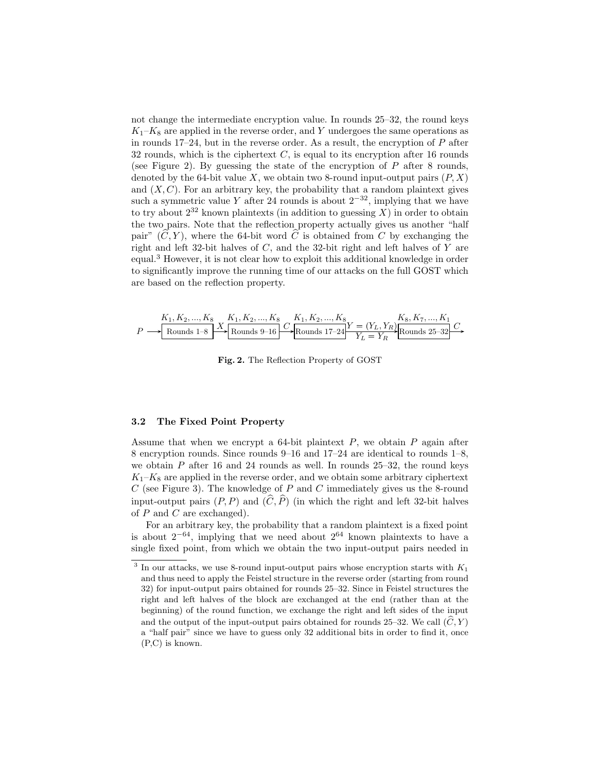not change the intermediate encryption value. In rounds 25–32, the round keys  $K_1-K_8$  are applied in the reverse order, and Y undergoes the same operations as in rounds  $17-24$ , but in the reverse order. As a result, the encryption of P after 32 rounds, which is the ciphertext  $C$ , is equal to its encryption after 16 rounds (see Figure 2). By guessing the state of the encryption of  $P$  after 8 rounds, denoted by the 64-bit value X, we obtain two 8-round input-output pairs  $(P, X)$ and  $(X, C)$ . For an arbitrary key, the probability that a random plaintext gives such a symmetric value Y after 24 rounds is about  $2^{-32}$ , implying that we have to try about  $2^{32}$  known plaintexts (in addition to guessing X) in order to obtain the two pairs. Note that the reflection property actually gives us another "half pair"  $(\widehat{C}, Y)$ , where the 64-bit word  $\widehat{C}$  is obtained from C by exchanging the right and left 32-bit halves of C, and the 32-bit right and left halves of Y are equal.<sup>3</sup> However, it is not clear how to exploit this additional knowledge in order to significantly improve the running time of our attacks on the full GOST which are based on the reflection property.

$$
P \longrightarrow \begin{array}{|l|l|} \hline K_1, K_2, ..., K_8 & K_1, K_2, ..., K_8 \\ \hline \text{Rounds 1-8} & \text{Rounds 9-16} \end{array} \begin{array}{|l|} \hline C & K_1, K_2, ..., K_8 \\ \hline \text{Rounds 17-24} & Y = (Y_L, Y_R) \\ \hline \text{Rounds 25-32} & Y_L = Y_R \end{array} \begin{array}{|l|} \hline K_8, K_7, ..., K_1 \\ \hline \text{Rounds 25-32} & C \end{array}
$$

Fig. 2. The Reflection Property of GOST

#### 3.2 The Fixed Point Property

we obtain  $P$  after 16 and 24 rounds as well. In rounds 25–32, the round keys  $\frac{1}{2}$   $\frac{1}{2}$  ...,  $\frac{1}{2}$ t.  $\frac{1}{2}$  $^{\prime}$  $6, \text{and } 17-24$ <sub>d</sub>  $\sim$  Ke $\sim$  ...,  $\sim$  $8$  encryption rounds. Since rounds  $9-16$  and  $17-24$  are identical to rounds  $1-8$ , Assume that when we encrypt a 64-bit plaintext  $P$ , we obtain  $P$  again after  $K_1-K_8$  are applied in the reverse order, and we obtain some arbitrary ciphertext  $C$  (see Figure 3). The knowledge of P and C immediately gives us the 8-round input-output pairs  $(P, P)$  and  $(\widehat{C}, \widehat{P})$  (in which the right and left 32-bit halves of  $P$  and  $C$  are exchanged).

For an arbitrary key, the probability that a random plaintext is a fixed point is about  $2^{-64}$ , implying that we need about  $2^{64}$  known plaintexts to have a single fixed point, from which we obtain the two input-output pairs needed in

<sup>&</sup>lt;sup>3</sup> In our attacks, we use 8-round input-output pairs whose encryption starts with  $K_1$ and thus need to apply the Feistel structure in the reverse order (starting from round 32) for input-output pairs obtained for rounds 25–32. Since in Feistel structures the right and left halves of the block are exchanged at the end (rather than at the beginning) of the round function, we exchange the right and left sides of the input and the output of the input-output pairs obtained for rounds 25–32. We call  $(\tilde{C}, Y)$ a "half pair" since we have to guess only 32 additional bits in order to find it, once (P,C) is known.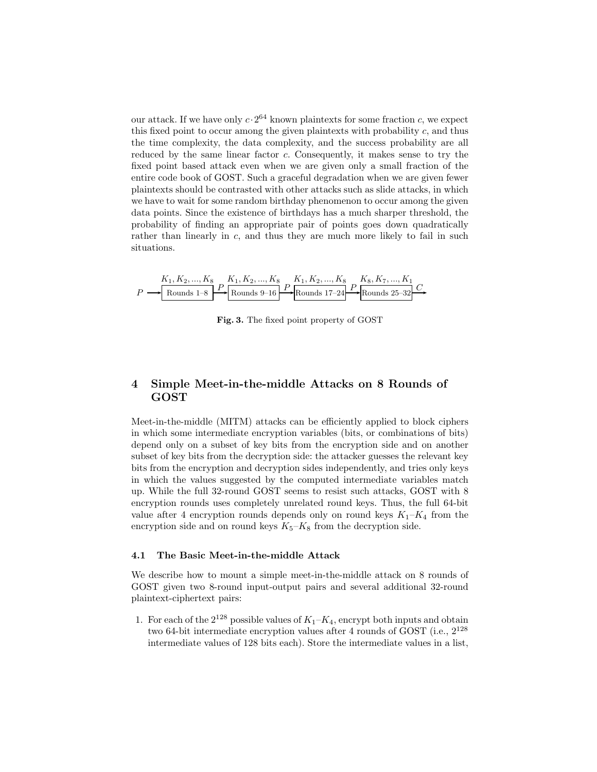our attack. If we have only  $c \cdot 2^{64}$  known plaintexts for some fraction c, we expect this fixed point to occur among the given plaintexts with probability c, and thus the time complexity, the data complexity, and the success probability are all reduced by the same linear factor c. Consequently, it makes sense to try the fixed point based attack even when we are given only a small fraction of the entire code book of GOST. Such a graceful degradation when we are given fewer plaintexts should be contrasted with other attacks such as slide attacks, in which we have to wait for some random birthday phenomenon to occur among the given data points. Since the existence of birthdays has a much sharper threshold, the probability of finding an appropriate pair of points goes down quadratically rather than linearly in  $c$ , and thus they are much more likely to fail in such situations. e linear factoi<br>theak even wh  $\frac{1}{2}$  ...,  $\frac{1}{2}$  $\mathfrak{c}$ .  $\alpha$ ,  $\alpha$ ,  $\alpha$ ,  $\alpha$ y, it makes  $\frac{1}{2}$  $\mathbf{t}$ 

$$
P \longrightarrow\n \begin{array}{c}\n K_1, K_2, ..., K_8 \\
\text{Rounds 1-8}\n \end{array}\n \longrightarrow\n \begin{array}{c}\n K_1, K_2, ..., K_8 \\
\text{Rounds 9-16}\n \end{array}\n \longrightarrow\n \begin{array}{c}\n K_1, K_2, ..., K_8 \\
\text{Rounds 17-24}\n \end{array}\n \longrightarrow\n \begin{array}{c}\n K_8, K_7, ..., K_1 \\
\text{Rounds 25-32}\n \end{array}\n \longrightarrow
$$

Fig. 3. The fixed point property of GOST

# 4 Simple Meet-in-the-middle Attacks on 8 Rounds of GOST

Meet-in-the-middle (MITM) attacks can be efficiently applied to block ciphers in which some intermediate encryption variables (bits, or combinations of bits) depend only on a subset of key bits from the encryption side and on another subset of key bits from the decryption side: the attacker guesses the relevant key bits from the encryption and decryption sides independently, and tries only keys in which the values suggested by the computed intermediate variables match up. While the full 32-round GOST seems to resist such attacks, GOST with 8 encryption rounds uses completely unrelated round keys. Thus, the full 64-bit value after 4 encryption rounds depends only on round keys  $K_1-K_4$  from the encryption side and on round keys  $K_5-K_8$  from the decryption side.

#### 4.1 The Basic Meet-in-the-middle Attack

We describe how to mount a simple meet-in-the-middle attack on 8 rounds of GOST given two 8-round input-output pairs and several additional 32-round plaintext-ciphertext pairs:

1. For each of the  $2^{128}$  possible values of  $K_1-K_4$ , encrypt both inputs and obtain two 64-bit intermediate encryption values after 4 rounds of GOST (i.e.,  $2^{128}$ ) intermediate values of 128 bits each). Store the intermediate values in a list,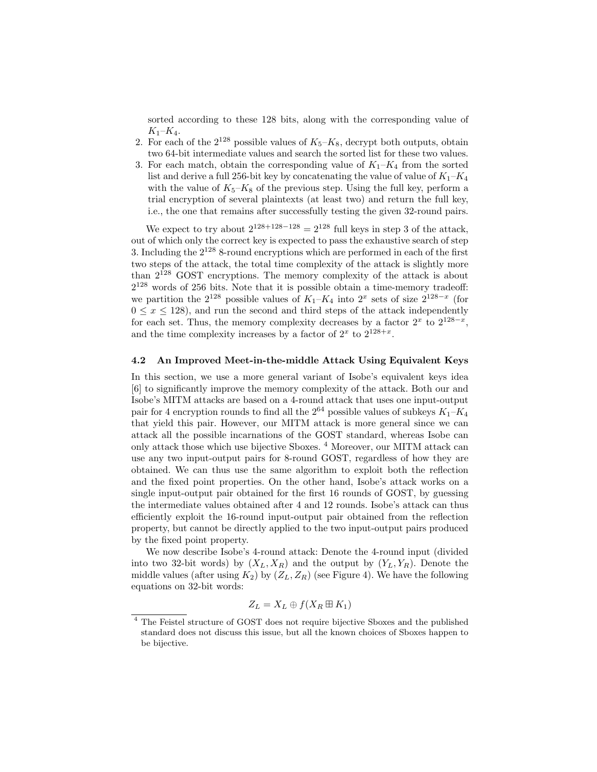sorted according to these 128 bits, along with the corresponding value of  $K_1 - K_4$ .

- 2. For each of the  $2^{128}$  possible values of  $K_5-K_8$ , decrypt both outputs, obtain two 64-bit intermediate values and search the sorted list for these two values.
- 3. For each match, obtain the corresponding value of  $K_1-K_4$  from the sorted list and derive a full 256-bit key by concatenating the value of value of  $K_1-K_4$ with the value of  $K_5-K_8$  of the previous step. Using the full key, perform a trial encryption of several plaintexts (at least two) and return the full key, i.e., the one that remains after successfully testing the given 32-round pairs.

We expect to try about  $2^{128+128-128} = 2^{128}$  full keys in step 3 of the attack, out of which only the correct key is expected to pass the exhaustive search of step 3. Including the  $2^{128}$  8-round encryptions which are performed in each of the first two steps of the attack, the total time complexity of the attack is slightly more than  $2^{128}$  GOST encryptions. The memory complexity of the attack is about  $2^{128}$  words of 256 bits. Note that it is possible obtain a time-memory tradeoff: we partition the  $2^{128}$  possible values of  $K_1-K_4$  into  $2^x$  sets of size  $2^{128-x}$  (for  $0 \leq x \leq 128$ , and run the second and third steps of the attack independently for each set. Thus, the memory complexity decreases by a factor  $2^x$  to  $2^{128-x}$ , and the time complexity increases by a factor of  $2^x$  to  $2^{128+x}$ .

#### 4.2 An Improved Meet-in-the-middle Attack Using Equivalent Keys

In this section, we use a more general variant of Isobe's equivalent keys idea [6] to significantly improve the memory complexity of the attack. Both our and Isobe's MITM attacks are based on a 4-round attack that uses one input-output pair for 4 encryption rounds to find all the  $2^{64}$  possible values of subkeys  $K_1-K_4$ that yield this pair. However, our MITM attack is more general since we can attack all the possible incarnations of the GOST standard, whereas Isobe can only attack those which use bijective Sboxes.<sup>4</sup> Moreover, our MITM attack can use any two input-output pairs for 8-round GOST, regardless of how they are obtained. We can thus use the same algorithm to exploit both the reflection and the fixed point properties. On the other hand, Isobe's attack works on a single input-output pair obtained for the first 16 rounds of GOST, by guessing the intermediate values obtained after 4 and 12 rounds. Isobe's attack can thus efficiently exploit the 16-round input-output pair obtained from the reflection property, but cannot be directly applied to the two input-output pairs produced by the fixed point property.

We now describe Isobe's 4-round attack: Denote the 4-round input (divided into two 32-bit words) by  $(X_L, X_R)$  and the output by  $(Y_L, Y_R)$ . Denote the middle values (after using  $K_2$ ) by  $(Z_L, Z_R)$  (see Figure 4). We have the following equations on 32-bit words:

$$
Z_L = X_L \oplus f(X_R \boxplus K_1)
$$

<sup>4</sup> The Feistel structure of GOST does not require bijective Sboxes and the published standard does not discuss this issue, but all the known choices of Sboxes happen to be bijective.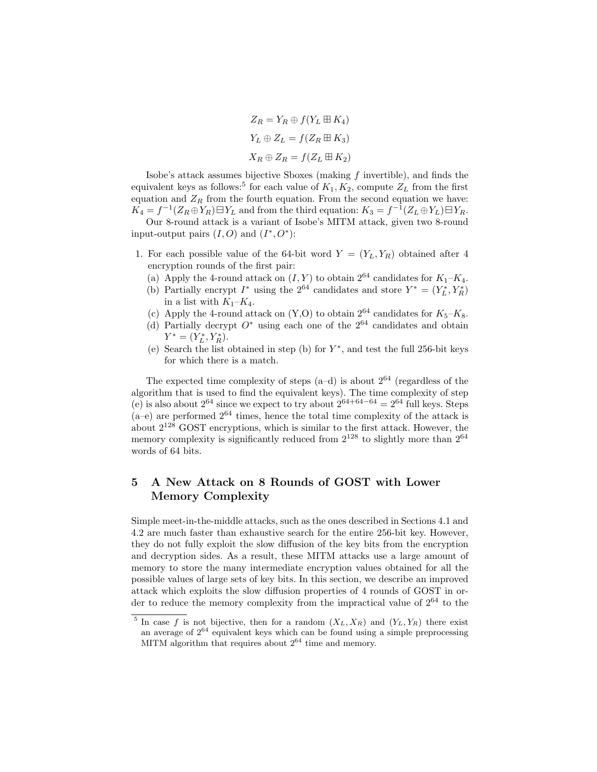$Z_R = Y_R \oplus f(Y_L \boxplus K_4)$  $Y_L \oplus Z_L = f(Z_R \boxplus K_3)$  $X_R \oplus Z_R = f(Z_L \boxplus K_2)$ 

Isobe's attack assumes bijective Sboxes (making f invertible), and finds the equivalent keys as follows:<sup>5</sup> for each value of  $K_1, K_2$ , compute  $Z_L$  from the first equation and  $Z_R$  from the fourth equation. From the second equation we have:  $K_4 = f^{-1}(Z_R \oplus Y_R) \boxminus Y_L$  and from the third equation:  $K_3 = f^{-1}(Z_L \oplus Y_L) \boxminus Y_R$ .

Our 8-round attack is a variant of Isobe's MITM attack, given two 8-round input-output pairs  $(I, O)$  and  $(I^*, O^*)$ :

- 1. For each possible value of the 64-bit word  $Y = (Y_L, Y_R)$  obtained after 4 encryption rounds of the first pair:
	- (a) Apply the 4-round attack on  $(I, Y)$  to obtain  $2^{64}$  candidates for  $K_1-K_4$ .
	- (b) Partially encrypt  $I^*$  using the  $2^{64}$  candidates and store  $Y^* = (Y_L^*, Y_R^*)$ in a list with  $K_1-K_4$ .
	- (c) Apply the 4-round attack on  $(Y, O)$  to obtain  $2^{64}$  candidates for  $K_5-K_8$ .
	- (d) Partially decrypt  $O^*$  using each one of the  $2^{64}$  candidates and obtain  $Y^* = (Y_L^*, Y_R^*).$
	- (e) Search the list obtained in step (b) for  $Y^*$ , and test the full 256-bit keys for which there is a match.

The expected time complexity of steps  $(a-d)$  is about  $2^{64}$  (regardless of the algorithm that is used to find the equivalent keys). The time complexity of step (e) is also about  $2^{64}$  since we expect to try about  $2^{64+64-64} = 2^{64}$  full keys. Steps  $(a-e)$  are performed  $2^{64}$  times, hence the total time complexity of the attack is about  $2^{128}$  GOST encryptions, which is similar to the first attack. However, the memory complexity is significantly reduced from  $2^{128}$  to slightly more than  $2^{64}$ words of 64 bits.

# 5 A New Attack on 8 Rounds of GOST with Lower Memory Complexity

Simple meet-in-the-middle attacks, such as the ones described in Sections 4.1 and 4.2 are much faster than exhaustive search for the entire 256-bit key. However, they do not fully exploit the slow diffusion of the key bits from the encryption and decryption sides. As a result, these MITM attacks use a large amount of memory to store the many intermediate encryption values obtained for all the possible values of large sets of key bits. In this section, we describe an improved attack which exploits the slow diffusion properties of 4 rounds of GOST in order to reduce the memory complexity from the impractical value of  $2^{64}$  to the

<sup>&</sup>lt;sup>5</sup> In case f is not bijective, then for a random  $(X_L, X_R)$  and  $(Y_L, Y_R)$  there exist an average of  $2^{64}$  equivalent keys which can be found using a simple preprocessing MITM algorithm that requires about  $2^{64}$  time and memory.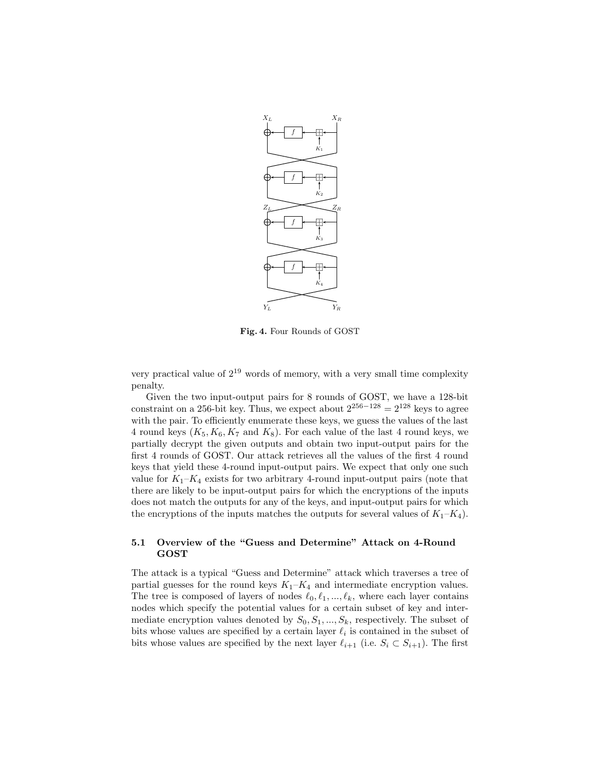

Fig. 4. Four Rounds of GOST

very practical value of  $2^{19}$  words of memory, with a very small time complexity penalty.

Given the two input-output pairs for 8 rounds of GOST, we have a 128-bit constraint on a 256-bit key. Thus, we expect about  $2^{256-128} = 2^{128}$  keys to agree with the pair. To efficiently enumerate these keys, we guess the values of the last 4 round keys  $(K_5, K_6, K_7 \text{ and } K_8)$ . For each value of the last 4 round keys, we partially decrypt the given outputs and obtain two input-output pairs for the first 4 rounds of GOST. Our attack retrieves all the values of the first 4 round keys that yield these 4-round input-output pairs. We expect that only one such value for  $K_1-K_4$  exists for two arbitrary 4-round input-output pairs (note that there are likely to be input-output pairs for which the encryptions of the inputs does not match the outputs for any of the keys, and input-output pairs for which the encryptions of the inputs matches the outputs for several values of  $K_1-K_4$ ).

### 5.1 Overview of the "Guess and Determine" Attack on 4-Round GOST

The attack is a typical "Guess and Determine" attack which traverses a tree of partial guesses for the round keys  $K_1-K_4$  and intermediate encryption values. The tree is composed of layers of nodes  $\ell_0, \ell_1, ..., \ell_k$ , where each layer contains nodes which specify the potential values for a certain subset of key and intermediate encryption values denoted by  $S_0, S_1, ..., S_k$ , respectively. The subset of bits whose values are specified by a certain layer  $\ell_i$  is contained in the subset of bits whose values are specified by the next layer  $\ell_{i+1}$  (i.e.  $S_i \subset S_{i+1}$ ). The first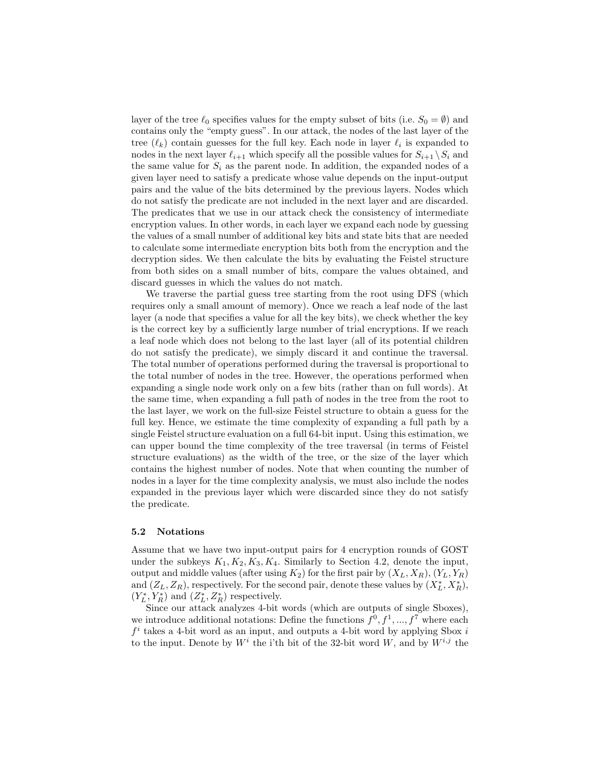layer of the tree  $\ell_0$  specifies values for the empty subset of bits (i.e.  $S_0 = \emptyset$ ) and contains only the "empty guess". In our attack, the nodes of the last layer of the tree  $(\ell_k)$  contain guesses for the full key. Each node in layer  $\ell_i$  is expanded to nodes in the next layer  $\ell_{i+1}$  which specify all the possible values for  $S_{i+1} \setminus S_i$  and the same value for  $S_i$  as the parent node. In addition, the expanded nodes of a given layer need to satisfy a predicate whose value depends on the input-output pairs and the value of the bits determined by the previous layers. Nodes which do not satisfy the predicate are not included in the next layer and are discarded. The predicates that we use in our attack check the consistency of intermediate encryption values. In other words, in each layer we expand each node by guessing the values of a small number of additional key bits and state bits that are needed to calculate some intermediate encryption bits both from the encryption and the decryption sides. We then calculate the bits by evaluating the Feistel structure from both sides on a small number of bits, compare the values obtained, and discard guesses in which the values do not match.

We traverse the partial guess tree starting from the root using DFS (which requires only a small amount of memory). Once we reach a leaf node of the last layer (a node that specifies a value for all the key bits), we check whether the key is the correct key by a sufficiently large number of trial encryptions. If we reach a leaf node which does not belong to the last layer (all of its potential children do not satisfy the predicate), we simply discard it and continue the traversal. The total number of operations performed during the traversal is proportional to the total number of nodes in the tree. However, the operations performed when expanding a single node work only on a few bits (rather than on full words). At the same time, when expanding a full path of nodes in the tree from the root to the last layer, we work on the full-size Feistel structure to obtain a guess for the full key. Hence, we estimate the time complexity of expanding a full path by a single Feistel structure evaluation on a full 64-bit input. Using this estimation, we can upper bound the time complexity of the tree traversal (in terms of Feistel structure evaluations) as the width of the tree, or the size of the layer which contains the highest number of nodes. Note that when counting the number of nodes in a layer for the time complexity analysis, we must also include the nodes expanded in the previous layer which were discarded since they do not satisfy the predicate.

#### 5.2 Notations

Assume that we have two input-output pairs for 4 encryption rounds of GOST under the subkeys  $K_1, K_2, K_3, K_4$ . Similarly to Section 4.2, denote the input, output and middle values (after using  $K_2$ ) for the first pair by  $(X_L, X_R)$ ,  $(Y_L, Y_R)$ and  $(Z_L, Z_R)$ , respectively. For the second pair, denote these values by  $(X_L^*, X_R^*)$ ,  $(Y_L^*,Y_R^*)$  and  $(Z_L^*,Z_R^*)$  respectively.

Since our attack analyzes 4-bit words (which are outputs of single Sboxes), we introduce additional notations: Define the functions  $f^0, f^1, ..., f^7$  where each  $f<sup>i</sup>$  takes a 4-bit word as an input, and outputs a 4-bit word by applying Sbox i to the input. Denote by  $W^i$  the i'th bit of the 32-bit word W, and by  $W^{i,j}$  the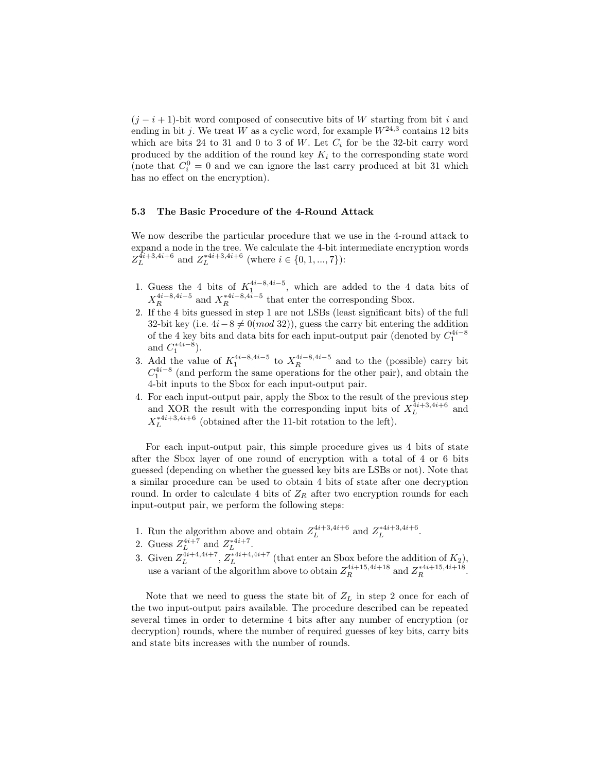$(j - i + 1)$ -bit word composed of consecutive bits of W starting from bit i and ending in bit j. We treat W as a cyclic word, for example  $W^{24,3}$  contains 12 bits which are bits 24 to 31 and 0 to 3 of W. Let  $C_i$  for be the 32-bit carry word produced by the addition of the round key  $K_i$  to the corresponding state word (note that  $C_i^0 = 0$  and we can ignore the last carry produced at bit 31 which has no effect on the encryption).

#### 5.3 The Basic Procedure of the 4-Round Attack

We now describe the particular procedure that we use in the 4-round attack to expand a node in the tree. We calculate the 4-bit intermediate encryption words  $Z_L^{\overline{4}i+3,4i+6}$  and  $Z_L^{*4i+3,4i+6}$  (where  $i \in \{0, 1, ..., 7\}$ ):

- 1. Guess the 4 bits of  $K_1^{4i-8,4i-5}$ , which are added to the 4 data bits of  $X_R^{4i-8,4i-5}$  and  $X_R^{*4i-8,4i-5}$  that enter the corresponding Sbox.
- 2. If the 4 bits guessed in step 1 are not LSBs (least significant bits) of the full 32-bit key (i.e.  $4i-8 \neq 0(mod 32)$ ), guess the carry bit entering the addition of the 4 key bits and data bits for each input-output pair (denoted by  $C_1^{4i-8}$ and  $C_1^{*4i-8}$ ). 1
- 3. Add the value of  $K_1^{4i-8,4i-5}$  to  $X_R^{4i-8,4i-5}$  and to the (possible) carry bit  $C_1^{4i-8}$  (and perform the same operations for the other pair), and obtain the 4-bit inputs to the Sbox for each input-output pair.
- 4. For each input-output pair, apply the Sbox to the result of the previous step and XOR the result with the corresponding input bits of  $X_L^{\overline{4}i+3,4i+6}$  and  $X_L^{*4i+3,4i+6}$  (obtained after the 11-bit rotation to the left).

For each input-output pair, this simple procedure gives us 4 bits of state after the Sbox layer of one round of encryption with a total of 4 or 6 bits guessed (depending on whether the guessed key bits are LSBs or not). Note that a similar procedure can be used to obtain 4 bits of state after one decryption round. In order to calculate 4 bits of  $Z_R$  after two encryption rounds for each input-output pair, we perform the following steps:

- 1. Run the algorithm above and obtain  $Z_L^{4i+3,4i+6}$  and  $Z_L^{*4i+3,4i+6}$ .
- 2. Guess  $Z_L^{4i+7}$  and  $Z_L^{*4i+7}$ .
- 3. Given  $Z_L^{4i+4,4i+7}$ ,  $Z_L^{*4i+4,4i+7}$  (that enter an Sbox before the addition of  $K_2$ ), use a variant of the algorithm above to obtain  $Z_R^{4i+15,4i+18}$  and  $Z_R^{*4i+15,4i+18}$ .

Note that we need to guess the state bit of  $Z_L$  in step 2 once for each of the two input-output pairs available. The procedure described can be repeated several times in order to determine 4 bits after any number of encryption (or decryption) rounds, where the number of required guesses of key bits, carry bits and state bits increases with the number of rounds.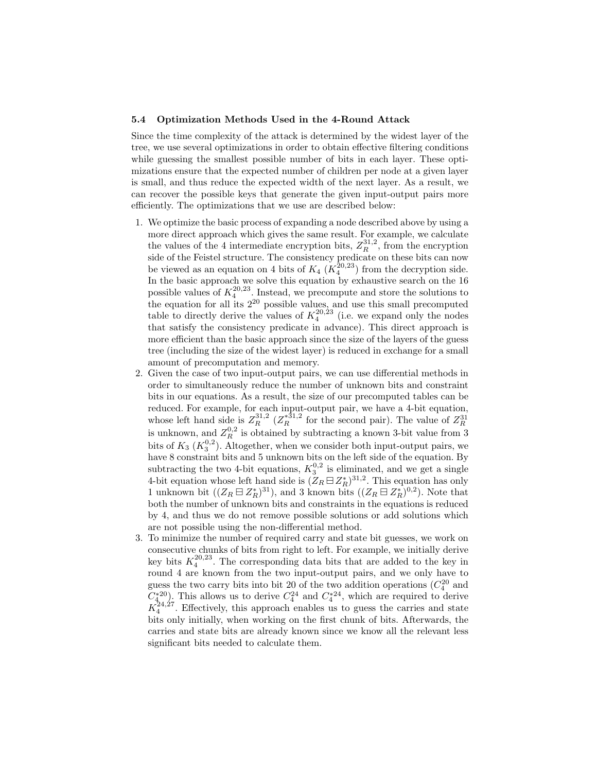#### 5.4 Optimization Methods Used in the 4-Round Attack

Since the time complexity of the attack is determined by the widest layer of the tree, we use several optimizations in order to obtain effective filtering conditions while guessing the smallest possible number of bits in each layer. These optimizations ensure that the expected number of children per node at a given layer is small, and thus reduce the expected width of the next layer. As a result, we can recover the possible keys that generate the given input-output pairs more efficiently. The optimizations that we use are described below:

- 1. We optimize the basic process of expanding a node described above by using a more direct approach which gives the same result. For example, we calculate the values of the 4 intermediate encryption bits,  $Z_R^{31,2}$ , from the encryption side of the Feistel structure. The consistency predicate on these bits can now be viewed as an equation on 4 bits of  $K_4$  ( $K_4^{20,23}$ ) from the decryption side. In the basic approach we solve this equation by exhaustive search on the 16 possible values of  $K_4^{20,23}$ . Instead, we precompute and store the solutions to possible values of  $K_4$  . Instead, we precompute and store the solutions to the equation for all its  $2^{20}$  possible values, and use this small precomputed table to directly derive the values of  $K_4^{20,23}$  (i.e. we expand only the nodes that satisfy the consistency predicate in advance). This direct approach is more efficient than the basic approach since the size of the layers of the guess tree (including the size of the widest layer) is reduced in exchange for a small amount of precomputation and memory.
- 2. Given the case of two input-output pairs, we can use differential methods in order to simultaneously reduce the number of unknown bits and constraint bits in our equations. As a result, the size of our precomputed tables can be reduced. For example, for each input-output pair, we have a 4-bit equation, whose left hand side is  $Z_R^{31,2}$  ( $Z_R^{*31,2}$  for the second pair). The value of  $Z_R^{31}$ is unknown, and  $Z_R^{0,2}$  is obtained by subtracting a known 3-bit value from 3 bits of  $K_3$   $(K_3^{0,2})$ . Altogether, when we consider both input-output pairs, we  $\frac{3}{12}$  ( $\frac{1}{3}$ ). Anogether, when we consider both liput-output pairs, we have 8 constraint bits and 5 unknown bits on the left side of the equation. By subtracting the two 4-bit equations,  $K_3^{0,2}$  is eliminated, and we get a single 4-bit equation whose left hand side is  $(Z_R \boxminus Z_R^*)^{31,2}$ . This equation has only 1 unknown bit  $((Z_R \boxminus Z_R^*)^{31})$ , and 3 known bits  $((Z_R \boxminus Z_R^*)^{0,2})$ . Note that both the number of unknown bits and constraints in the equations is reduced by 4, and thus we do not remove possible solutions or add solutions which are not possible using the non-differential method.
- 3. To minimize the number of required carry and state bit guesses, we work on consecutive chunks of bits from right to left. For example, we initially derive key bits  $K_4^{20,23}$ . The corresponding data bits that are added to the key in round 4 are known from the two input-output pairs, and we only have to guess the two carry bits into bit 20 of the two addition operations  $(C_4^{20}$  and  $C_{4}^{*20}$ . This allows us to derive  $C_4^{24}$  and  $C_4^{*24}$ , which are required to derive  $K_4^{24,27}$ . Effectively, this approach enables us to guess the carries and state bits only initially, when working on the first chunk of bits. Afterwards, the carries and state bits are already known since we know all the relevant less significant bits needed to calculate them.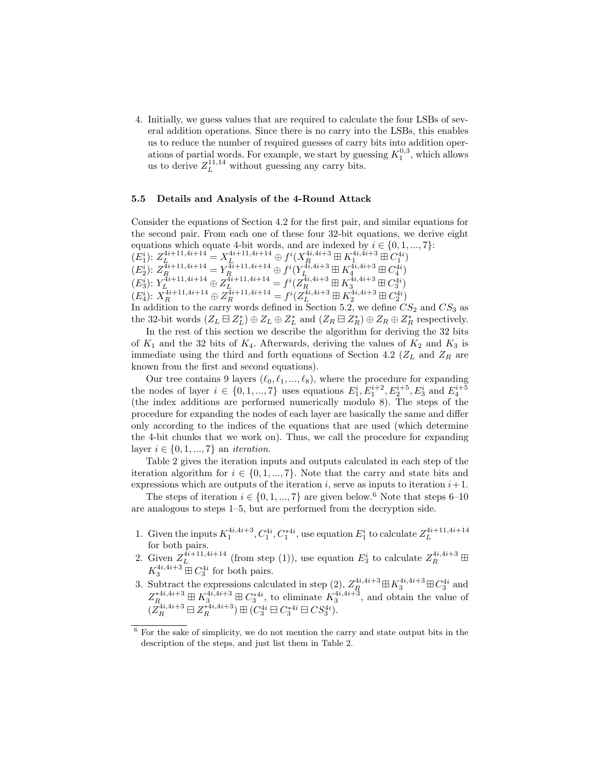4. Initially, we guess values that are required to calculate the four LSBs of several addition operations. Since there is no carry into the LSBs, this enables us to reduce the number of required guesses of carry bits into addition operations of partial words. For example, we start by guessing  $K_1^{0,3}$ , which allows us to derive  $Z_L^{11,14}$  without guessing any carry bits.

#### 5.5 Details and Analysis of the 4-Round Attack

Consider the equations of Section 4.2 for the first pair, and similar equations for the second pair. From each one of these four 32-bit equations, we derive eight equations which equate 4-bit words, and are indexed by  $i \in \{0, 1, ..., 7\}$ :  $(E_1^i): Z_L^{4i+11,4i+14} = X_L^{4i+11,4i+14} \oplus f^i(X_R^{4i,4i+3} \boxplus K_1^{4i,4i+3} \boxplus C_1^{4i})$  $(E_2^i): Z^{4i+11,4i+14}_{R_1} = Y^{4i+11,4i+14}_{R_2} \oplus f^i(Y^{4i,4i+3}_{L_1}, \boxplus K^{4i,4i+3}_{4}, \boxplus C^{4i}_{4})$  $(E_3^i): Y_{L_1, \ldots, L_{i-1}}^{4i+11, 4i+14} \oplus Z_{L_1, \ldots, L_{i-1}}^{4i+11, 4i+14} = f^i(Z_{R_1, \ldots, R_i}^{4i, 4i+3} \boxplus K_{3, \ldots, R_i}^{4i, 4i+3} \boxplus C_{3}^{4i})$  $(E_4^i): X_R^{4i+11,4i+14} \oplus Z_R^{4i+11,4i+14} = f^i(Z_L^{4i,4i+3} \boxplus K_2^{4i,4i+3} \boxplus C_2^{4i})$ In addition to the carry words defined in Section 5.2, we define  $CS_2$  and  $CS_3$  as the 32-bit words  $(Z_L \boxminus Z_L^*) \oplus Z_L \oplus Z_L^*$  and  $(Z_R \boxminus Z_R^*) \oplus Z_R \oplus Z_R^*$  respectively.

In the rest of this section we describe the algorithm for deriving the 32 bits of  $K_1$  and the 32 bits of  $K_4$ . Afterwards, deriving the values of  $K_2$  and  $K_3$  is immediate using the third and forth equations of Section 4.2 ( $Z_L$  and  $Z_R$  are known from the first and second equations).

Our tree contains 9 layers  $(\ell_0, \ell_1, ..., \ell_8)$ , where the procedure for expanding the nodes of layer  $i \in \{0, 1, ..., 7\}$  uses equations  $E_1^i, E_1^{i+2}, E_2^{i+5}, E_3^i$  and  $E_4^{i+5}$ (the index additions are performed numerically modulo 8). The steps of the procedure for expanding the nodes of each layer are basically the same and differ only according to the indices of the equations that are used (which determine the 4-bit chunks that we work on). Thus, we call the procedure for expanding layer  $i \in \{0, 1, ..., 7\}$  an *iteration*.

Table 2 gives the iteration inputs and outputs calculated in each step of the iteration algorithm for  $i \in \{0, 1, ..., 7\}$ . Note that the carry and state bits and expressions which are outputs of the iteration i, serve as inputs to iteration  $i+1$ .

The steps of iteration  $i \in \{0, 1, ..., 7\}$  are given below.<sup>6</sup> Note that steps 6–10 are analogous to steps 1–5, but are performed from the decryption side.

- 1. Given the inputs  $K_1^{4i,4i+3}$ ,  $C_1^{4i}$ ,  $C_1^{*4i}$ , use equation  $E_1^i$  to calculate  $Z_L^{4i+11,4i+14}$ for both pairs.
- 2. Given  $Z_L^{4i+11,4i+14}$  (from step (1)), use equation  $E_3^i$  to calculate  $Z_R^{4i,4i+3} \boxplus$  $K_3^{4i,4i+3} \boxplus C_3^{4i}$  for both pairs. 3
- 3. Subtract the expressions calculated in step (2),  $Z_R^{4i,4i+3} \boxplus K_3^{4i,4i+3} \boxplus C_3^{4i}$  and  $Z^{*4i,4i+3}_{R_{1},\ldots, R_{n}} \boxplus K^{4i,4i+3}_{3} \boxplus C^{*4i}_{3}$ , to eliminate  $K^{4i,4i+3}_{3}$ , and obtain the value of  $(Z_R^{4i,4i+3} \boxminus Z_R^{*4i,4i+3}) \boxplus (C_3^{4i} \boxminus C_3^{*4i} \boxminus CS_3^{4i}).$

 $6$  For the sake of simplicity, we do not mention the carry and state output bits in the description of the steps, and just list them in Table 2.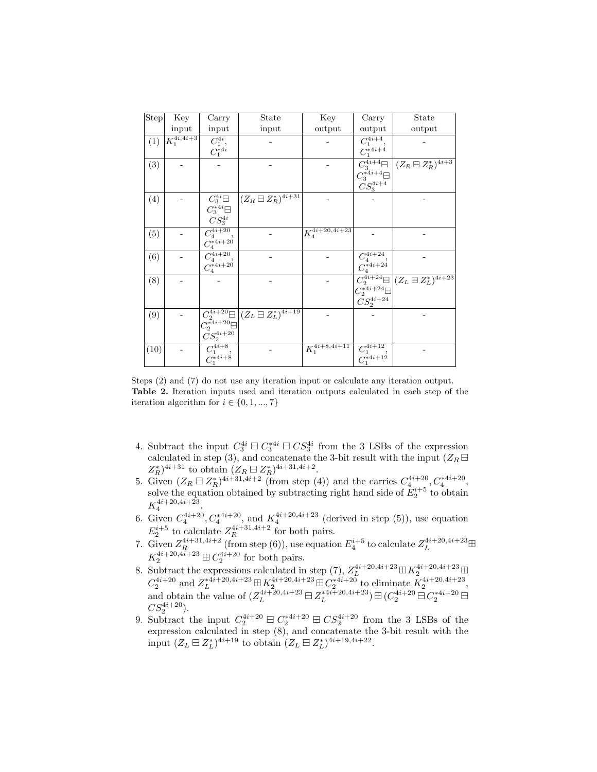| <b>Step</b> | Key                        | Carry                                      | State                                                         | Key                      | Carry                                               | State                                                  |
|-------------|----------------------------|--------------------------------------------|---------------------------------------------------------------|--------------------------|-----------------------------------------------------|--------------------------------------------------------|
|             | input                      | input                                      | input                                                         | output                   | output                                              | output                                                 |
| (1)         | $K_1^{4i,\overline{4i+3}}$ | $C_1^{4i}$ ,                               |                                                               |                          | $C_1^{\overline{4i+4}},$                            |                                                        |
|             |                            | $C_1^{\tilde{*}4i}$                        |                                                               |                          | $C_1^*$ 4 <i>i</i> +4                               |                                                        |
| (3)         |                            |                                            |                                                               |                          | $C_3^{\ast 4i +4} \boxminus$                        | $C_3^{4i+4} \Box \left( Z_R \Box Z_R^* \right)^{4i+3}$ |
|             |                            |                                            |                                                               |                          | $\check{CS}^{4i+4}_3$                               |                                                        |
| (4)         |                            | $C_3^{4i} \square$                         | $(Z_R \boxminus Z_R^*)^{\overline{4i+31}}$                    |                          |                                                     |                                                        |
|             |                            | $C_3^{\ast 4i}\boxminus$                   |                                                               |                          |                                                     |                                                        |
|             |                            | $CS_3^{4i}$                                |                                                               |                          |                                                     |                                                        |
| (5)         |                            | $\overline{C_4^{4i+20}}$                   |                                                               | $K_4^{4i+20,4i+23}$      |                                                     |                                                        |
|             |                            | $C_4^{*4i+20}$                             |                                                               |                          |                                                     |                                                        |
| (6)         |                            | $\bar{C_4^{4i+20}}$                        |                                                               |                          | $\overline{C_4^{4i+24}},$                           |                                                        |
|             |                            | $C_4^{\overset{\_}{*}\overset{\_}{4}i+20}$ |                                                               |                          | $C_4^{*4i+24}$                                      |                                                        |
| (8)         |                            |                                            |                                                               |                          |                                                     | $C_2^{4i+24} \Box (Z_L \boxminus Z_L^*)^{4i+23}$       |
|             |                            |                                            |                                                               |                          | $\tilde{C_2^{*4i+24} \boxminus}$                    |                                                        |
|             |                            |                                            |                                                               |                          | $\tilde{CS}_2^{4i+24}$                              |                                                        |
| (9)         |                            |                                            | $C_2^{4i+20} \Box \left( Z_L \boxminus Z_L^* \right)^{4i+19}$ |                          |                                                     |                                                        |
|             |                            | $C_2^{\bar{*}4i+20} \boxminus$             |                                                               |                          |                                                     |                                                        |
|             |                            | $\bar{C}S_2^{4i+20}$                       |                                                               |                          |                                                     |                                                        |
| (10)        |                            | $C_1^{4i+8},$<br>$C_1^{*4i+8}$             |                                                               | $\bar{K_1^{4i+8,4i+11}}$ | $\overline{C_1^{4i+12}}, \ \overline{C_1^{*4i+12}}$ |                                                        |
|             |                            |                                            |                                                               |                          |                                                     |                                                        |

Steps (2) and (7) do not use any iteration input or calculate any iteration output. Table 2. Iteration inputs used and iteration outputs calculated in each step of the iteration algorithm for  $i \in \{0, 1, ..., 7\}$ 

- 4. Subtract the input  $C_3^{4i} \boxminus C_3^{4i} \boxminus CS_3^{4i}$  from the 3 LSBs of the expression calculated in step (3), and concatenate the 3-bit result with the input  $(Z_R \boxminus$  $Z_R^*$ )<sup>4i+31</sup> to obtain  $(Z_R \boxminus Z_R^*)^{4i+31,4i+2}$ .
- 5. Given  $(Z_R \boxminus Z_R^*)^{4i+31,4i+2}$  (from step (4)) and the carries  $C_4^{4i+20}$ ,  $C_4^{*4i+20}$ , solve the equation obtained by subtracting right hand side of  $E_2^{i+5}$  to obtain  $K_4^{4i+20,4i+23}$  $\frac{4i+20,4i+25}{4}$ .
- 6. Given  $C_4^{4i+20}$ ,  $C_4^{*4i+20}$ , and  $K_4^{4i+20,4i+23}$  (derived in step (5)), use equation  $E_2^{i+5}$  to calculate  $Z_R^{4i+31,4i+2}$  for both pairs.
- 7. Given  $Z_R^{4i+31,4i+2}$  (from step (6)), use equation  $E_4^{i+5}$  to calculate  $Z_L^{4i+20,4i+23}$   $\boxplus$  $K_2^{4i+20,4i+23} \boxplus C_2^{4i+20}$  for both pairs.
- 8. Subtract the expressions calculated in step (7),  $Z_L^{4i+20,4i+23} \boxplus K_2^{4i+20,4i+23} \boxplus$  $C_2^{4i+20}$  and  $Z_L^{*4i+20,4i+23} \boxplus K_2^{4i+20,4i+23} \boxplus C_2^{*4i+20}$  to eliminate  $K_2^{4i+20,4i+23}$ , and obtain the value of  $(Z_L^{4i+20,4i+23} \boxminus Z_L^{*4i+20,4i+23}) \boxplus (C_2^{4i+20} \boxminus C_2^{*4i+20} \boxminus$  $CS_2^{4i+20}$ ).
- 9. Subtract the input  $C_2^{4i+20} \boxminus C_2^{*4i+20} \boxminus C_2^{4i+20}$  from the 3 LSBs of the expression calculated in step (8), and concatenate the 3-bit result with the input  $(Z_L \boxminus Z_L^*)^{4i+19}$  to obtain  $(Z_L \boxminus Z_L^*)^{4i+19,4i+22}$ .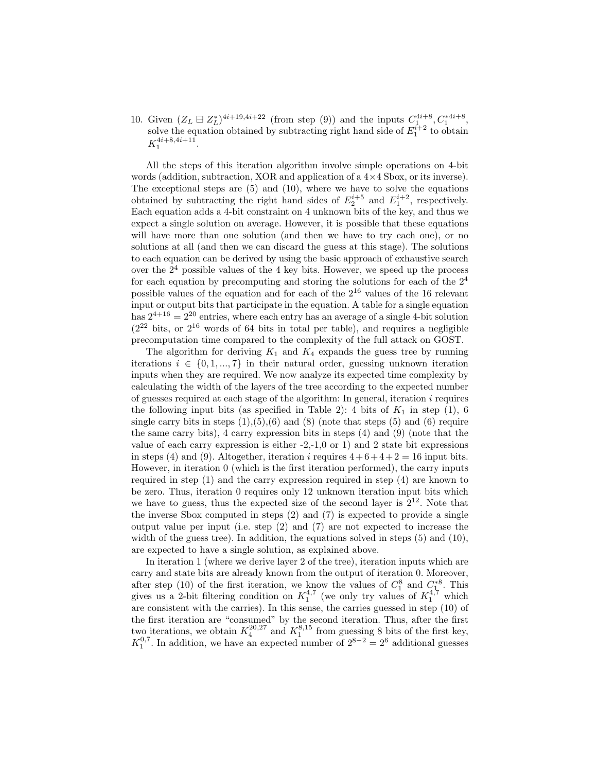10. Given  $(Z_L \boxminus Z_L^*)^{4i+19,4i+22}$  (from step (9)) and the inputs  $C_{1,\,\circ}^{4i+8}, C_1^{*4i+8},$ solve the equation obtained by subtracting right hand side of  $E_1^{i+2}$  to obtain  $K_1^{4i+8,4i+11}.$ 

All the steps of this iteration algorithm involve simple operations on 4-bit words (addition, subtraction, XOR and application of a  $4 \times 4$  Sbox, or its inverse). The exceptional steps are  $(5)$  and  $(10)$ , where we have to solve the equations obtained by subtracting the right hand sides of  $E_2^{i+5}$  and  $E_1^{i+2}$ , respectively. Each equation adds a 4-bit constraint on 4 unknown bits of the key, and thus we expect a single solution on average. However, it is possible that these equations will have more than one solution (and then we have to try each one), or no solutions at all (and then we can discard the guess at this stage). The solutions to each equation can be derived by using the basic approach of exhaustive search over the  $2<sup>4</sup>$  possible values of the 4 key bits. However, we speed up the process for each equation by precomputing and storing the solutions for each of the  $2<sup>4</sup>$ possible values of the equation and for each of the 2<sup>16</sup> values of the 16 relevant input or output bits that participate in the equation. A table for a single equation has  $2^{4+16} = 2^{20}$  entries, where each entry has an average of a single 4-bit solution  $(2^{22}$  bits, or  $2^{16}$  words of 64 bits in total per table), and requires a negligible precomputation time compared to the complexity of the full attack on GOST.

The algorithm for deriving  $K_1$  and  $K_4$  expands the guess tree by running iterations  $i \in \{0, 1, ..., 7\}$  in their natural order, guessing unknown iteration inputs when they are required. We now analyze its expected time complexity by calculating the width of the layers of the tree according to the expected number of guesses required at each stage of the algorithm: In general, iteration  $i$  requires the following input bits (as specified in Table 2): 4 bits of  $K_1$  in step (1), 6 single carry bits in steps  $(1), (5), (6)$  and  $(8)$  (note that steps  $(5)$  and  $(6)$  require the same carry bits), 4 carry expression bits in steps (4) and (9) (note that the value of each carry expression is either  $-2,-1,0$  or 1) and 2 state bit expressions in steps (4) and (9). Altogether, iteration i requires  $4+6+4+2=16$  input bits. However, in iteration 0 (which is the first iteration performed), the carry inputs required in step (1) and the carry expression required in step (4) are known to be zero. Thus, iteration 0 requires only 12 unknown iteration input bits which we have to guess, thus the expected size of the second layer is  $2^{12}$ . Note that the inverse Sbox computed in steps (2) and (7) is expected to provide a single output value per input (i.e. step (2) and (7) are not expected to increase the width of the guess tree). In addition, the equations solved in steps  $(5)$  and  $(10)$ , are expected to have a single solution, as explained above.

In iteration 1 (where we derive layer 2 of the tree), iteration inputs which are carry and state bits are already known from the output of iteration 0. Moreover, after step (10) of the first iteration, we know the values of  $C_1^8$  and  $C_1^{*8}$ . This gives us a 2-bit filtering condition on  $K_1^{4,7}$  (we only try values of  $K_1^{4,7}$  which are consistent with the carries). In this sense, the carries guessed in step (10) of the first iteration are "consumed" by the second iteration. Thus, after the first two iterations, we obtain  $K_4^{20,27}$  and  $K_1^{8,15}$  from guessing 8 bits of the first key,  $K_1^{0,7}$ . In addition, we have an expected number of  $2^{8-2} = 2^6$  additional guesses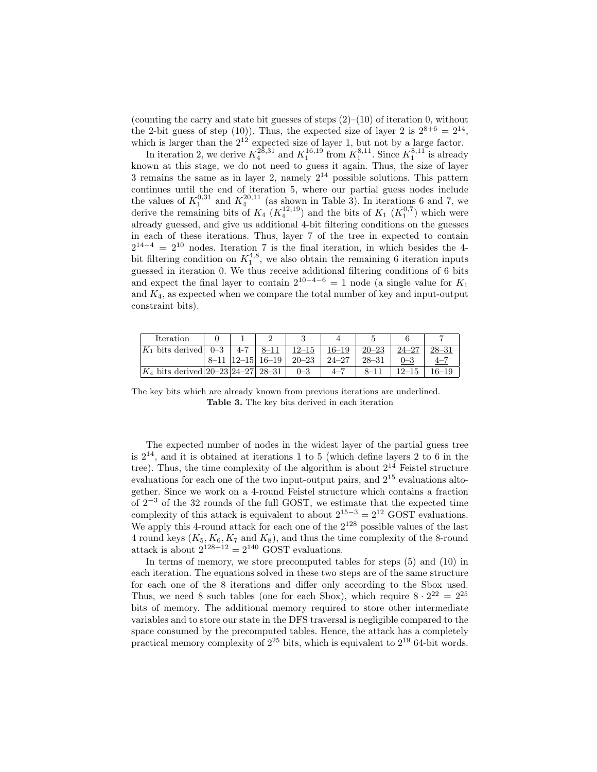(counting the carry and state bit guesses of steps  $(2)$ – $(10)$  of iteration 0, without the 2-bit guess of step (10)). Thus, the expected size of layer 2 is  $2^{8+6} = 2^{14}$ , which is larger than the  $2^{12}$  expected size of layer 1, but not by a large factor.

In iteration 2, we derive  $K_4^{28,31}$  and  $K_1^{16,19}$  from  $K_1^{8,11}$ . Since  $K_1^{8,11}$  is already known at this stage, we do not need to guess it again. Thus, the size of layer 3 remains the same as in layer 2, namely  $2^{14}$  possible solutions. This pattern continues until the end of iteration 5, where our partial guess nodes include the values of  $K_1^{0,31}$  and  $K_4^{20,11}$  (as shown in Table 3). In iterations 6 and 7, we derive the remaining bits of  $K_4$   $(K_4^{12,19})$  and the bits of  $K_1$   $(K_1^{0,7})$  which were already guessed, and give us additional 4-bit filtering conditions on the guesses in each of these iterations. Thus, layer 7 of the tree in expected to contain  $2^{14-4} = 2^{10}$  nodes. Iteration 7 is the final iteration, in which besides the 4bit filtering condition on  $K_1^{4,8}$ , we also obtain the remaining 6 iteration inputs guessed in iteration 0. We thus receive additional filtering conditions of 6 bits and expect the final layer to contain  $2^{10-4-6} = 1$  node (a single value for  $K_1$ ) and  $K_4$ , as expected when we compare the total number of key and input-output constraint bits).

| Iteration                              |         |                      |           |           |           |            |       |
|----------------------------------------|---------|----------------------|-----------|-----------|-----------|------------|-------|
| $ K_1 $ bits derived $ 0-3 $           | $4 - 7$ |                      | $12 - 15$ | $16 - 19$ | $20 - 23$ | $24 - 27$  |       |
|                                        |         | 8-11   12-15   16-19 | $20 - 23$ | $24 - 27$ | $28 - 31$ |            | $4-$  |
| $ K_4 $ bits derived 20–23 24–27 28–31 |         |                      | $0 - 3$   | $-4 - 7$  |           | $^{12-15}$ | 16–19 |

The key bits which are already known from previous iterations are underlined. Table 3. The key bits derived in each iteration

The expected number of nodes in the widest layer of the partial guess tree is  $2^{14}$ , and it is obtained at iterations 1 to 5 (which define layers 2 to 6 in the tree). Thus, the time complexity of the algorithm is about  $2^{14}$  Feistel structure evaluations for each one of the two input-output pairs, and 2<sup>15</sup> evaluations altogether. Since we work on a 4-round Feistel structure which contains a fraction of 2<sup>−</sup><sup>3</sup> of the 32 rounds of the full GOST, we estimate that the expected time complexity of this attack is equivalent to about  $2^{15-3} = 2^{12}$  GOST evaluations. We apply this 4-round attack for each one of the  $2^{128}$  possible values of the last 4 round keys  $(K_5, K_6, K_7$  and  $K_8$ ), and thus the time complexity of the 8-round attack is about  $2^{128+12} = 2^{140}$  GOST evaluations.

In terms of memory, we store precomputed tables for steps (5) and (10) in each iteration. The equations solved in these two steps are of the same structure for each one of the 8 iterations and differ only according to the Sbox used. Thus, we need 8 such tables (one for each Sbox), which require  $8 \cdot 2^{22} = 2^{25}$ bits of memory. The additional memory required to store other intermediate variables and to store our state in the DFS traversal is negligible compared to the space consumed by the precomputed tables. Hence, the attack has a completely practical memory complexity of  $2^{25}$  bits, which is equivalent to  $2^{19}$  64-bit words.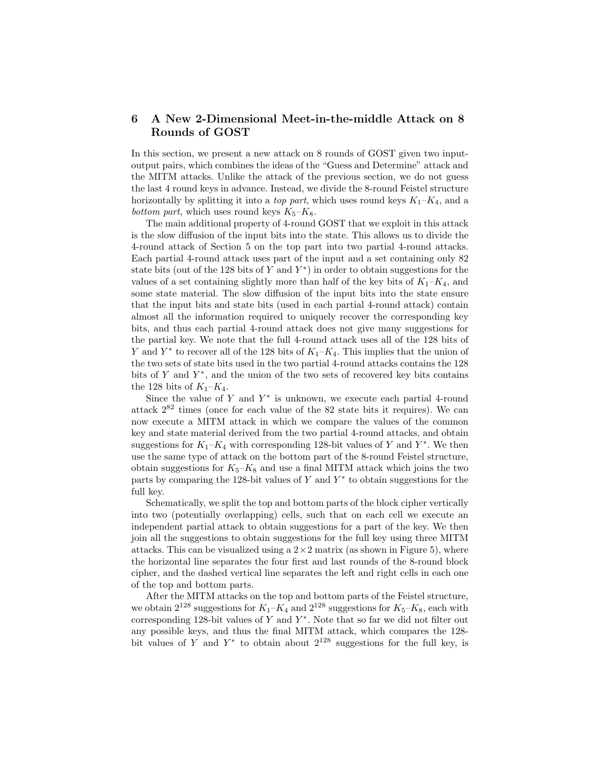# 6 A New 2-Dimensional Meet-in-the-middle Attack on 8 Rounds of GOST

In this section, we present a new attack on 8 rounds of GOST given two inputoutput pairs, which combines the ideas of the "Guess and Determine" attack and the MITM attacks. Unlike the attack of the previous section, we do not guess the last 4 round keys in advance. Instead, we divide the 8-round Feistel structure horizontally by splitting it into a *top part*, which uses round keys  $K_1-K_4$ , and a bottom part, which uses round keys  $K_5-K_8$ .

The main additional property of 4-round GOST that we exploit in this attack is the slow diffusion of the input bits into the state. This allows us to divide the 4-round attack of Section 5 on the top part into two partial 4-round attacks. Each partial 4-round attack uses part of the input and a set containing only 82 state bits (out of the 128 bits of  $Y$  and  $Y^*$ ) in order to obtain suggestions for the values of a set containing slightly more than half of the key bits of  $K_1-K_4$ , and some state material. The slow diffusion of the input bits into the state ensure that the input bits and state bits (used in each partial 4-round attack) contain almost all the information required to uniquely recover the corresponding key bits, and thus each partial 4-round attack does not give many suggestions for the partial key. We note that the full 4-round attack uses all of the 128 bits of Y and  $Y^*$  to recover all of the 128 bits of  $K_1-K_4$ . This implies that the union of the two sets of state bits used in the two partial 4-round attacks contains the 128 bits of  $Y$  and  $Y^*$ , and the union of the two sets of recovered key bits contains the 128 bits of  $K_1-K_4$ .

Since the value of  $Y$  and  $Y^*$  is unknown, we execute each partial 4-round attack  $2^{82}$  times (once for each value of the  $82$  state bits it requires). We can now execute a MITM attack in which we compare the values of the common key and state material derived from the two partial 4-round attacks, and obtain suggestions for  $K_1-K_4$  with corresponding 128-bit values of Y and Y<sup>\*</sup>. We then use the same type of attack on the bottom part of the 8-round Feistel structure, obtain suggestions for  $K_5-K_8$  and use a final MITM attack which joins the two parts by comparing the 128-bit values of  $Y$  and  $Y^*$  to obtain suggestions for the full key.

Schematically, we split the top and bottom parts of the block cipher vertically into two (potentially overlapping) cells, such that on each cell we execute an independent partial attack to obtain suggestions for a part of the key. We then join all the suggestions to obtain suggestions for the full key using three MITM attacks. This can be visualized using a  $2 \times 2$  matrix (as shown in Figure 5), where the horizontal line separates the four first and last rounds of the 8-round block cipher, and the dashed vertical line separates the left and right cells in each one of the top and bottom parts.

After the MITM attacks on the top and bottom parts of the Feistel structure, we obtain  $2^{128}$  suggestions for  $K_1-K_4$  and  $2^{128}$  suggestions for  $K_5-K_8$ , each with corresponding 128-bit values of  $Y$  and  $Y^*$ . Note that so far we did not filter out any possible keys, and thus the final MITM attack, which compares the 128 bit values of Y and  $Y^*$  to obtain about  $2^{128}$  suggestions for the full key, is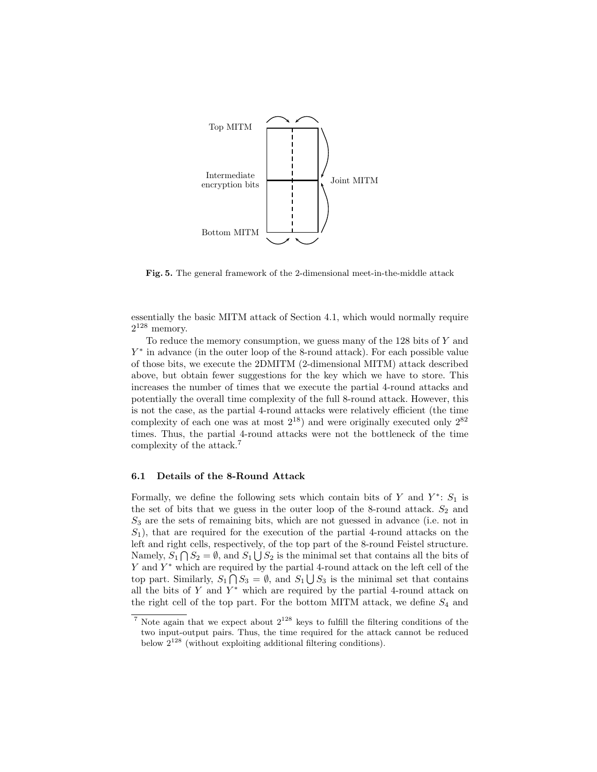

Fig. 5. The general framework of the 2-dimensional meet-in-the-middle attack

essentially the basic MITM attack of Section 4.1, which would normally require  $2^{128}$  memory.

To reduce the memory consumption, we guess many of the 128 bits of Y and Y<sup>\*</sup> in advance (in the outer loop of the 8-round attack). For each possible value of those bits, we execute the 2DMITM (2-dimensional MITM) attack described above, but obtain fewer suggestions for the key which we have to store. This increases the number of times that we execute the partial 4-round attacks and potentially the overall time complexity of the full 8-round attack. However, this is not the case, as the partial 4-round attacks were relatively efficient (the time complexity of each one was at most  $2^{18}$ ) and were originally executed only  $2^{82}$ times. Thus, the partial 4-round attacks were not the bottleneck of the time complexity of the attack.<sup>7</sup>

#### 6.1 Details of the 8-Round Attack

Formally, we define the following sets which contain bits of  $Y$  and  $Y^*$ :  $S_1$  is the set of bits that we guess in the outer loop of the 8-round attack.  $S_2$  and  $S_3$  are the sets of remaining bits, which are not guessed in advance (i.e. not in  $S_1$ , that are required for the execution of the partial 4-round attacks on the left and right cells, respectively, of the top part of the 8-round Feistel structure. Namely,  $S_1 \bigcap S_2 = \emptyset$ , and  $S_1 \bigcup S_2$  is the minimal set that contains all the bits of Y and Y<sup>\*</sup> which are required by the partial 4-round attack on the left cell of the top part. Similarly,  $S_1 \cap S_3 = \emptyset$ , and  $S_1 \cup S_3$  is the minimal set that contains all the bits of Y and  $Y^*$  which are required by the partial 4-round attack on the right cell of the top part. For the bottom MITM attack, we define  $S_4$  and

 $7$  Note again that we expect about  $2^{128}$  keys to fulfill the filtering conditions of the two input-output pairs. Thus, the time required for the attack cannot be reduced below  $2^{128}$  (without exploiting additional filtering conditions).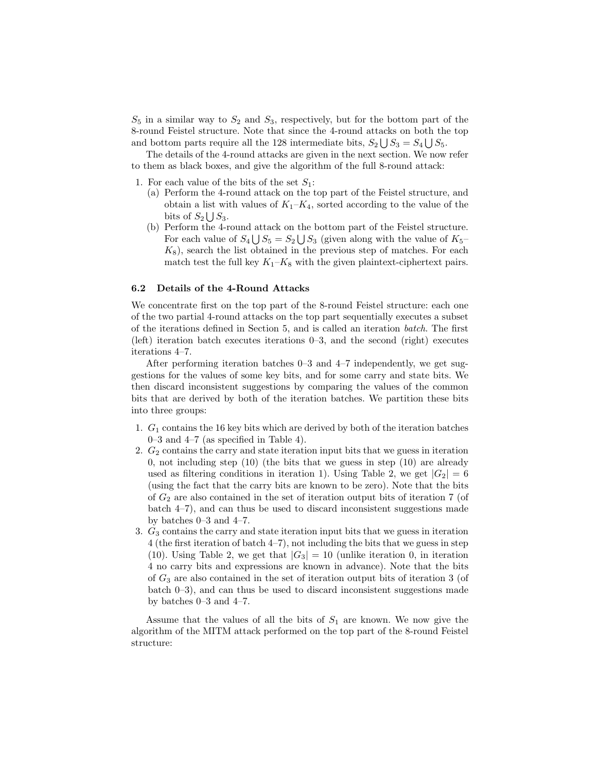$S_5$  in a similar way to  $S_2$  and  $S_3$ , respectively, but for the bottom part of the 8-round Feistel structure. Note that since the 4-round attacks on both the top and bottom parts require all the 128 intermediate bits,  $S_2 \bigcup S_3 = S_4 \bigcup S_5$ .

The details of the 4-round attacks are given in the next section. We now refer to them as black boxes, and give the algorithm of the full 8-round attack:

- 1. For each value of the bits of the set  $S_1$ :
	- (a) Perform the 4-round attack on the top part of the Feistel structure, and obtain a list with values of  $K_1-K_4$ , sorted according to the value of the bits of  $S_2 \bigcup S_3$ .
	- (b) Perform the 4-round attack on the bottom part of the Feistel structure. For each value of  $S_4 \bigcup S_5 = S_2 \bigcup S_3$  (given along with the value of  $K_5$ - $K_8$ , search the list obtained in the previous step of matches. For each match test the full key  $K_1-K_8$  with the given plaintext-ciphertext pairs.

#### 6.2 Details of the 4-Round Attacks

We concentrate first on the top part of the 8-round Feistel structure: each one of the two partial 4-round attacks on the top part sequentially executes a subset of the iterations defined in Section 5, and is called an iteration batch. The first (left) iteration batch executes iterations 0–3, and the second (right) executes iterations 4–7.

After performing iteration batches 0–3 and 4–7 independently, we get suggestions for the values of some key bits, and for some carry and state bits. We then discard inconsistent suggestions by comparing the values of the common bits that are derived by both of the iteration batches. We partition these bits into three groups:

- 1.  $G_1$  contains the 16 key bits which are derived by both of the iteration batches 0–3 and 4–7 (as specified in Table 4).
- 2.  $G_2$  contains the carry and state iteration input bits that we guess in iteration 0, not including step  $(10)$  (the bits that we guess in step  $(10)$  are already used as filtering conditions in iteration 1). Using Table 2, we get  $|G_2| = 6$ (using the fact that the carry bits are known to be zero). Note that the bits of  $G_2$  are also contained in the set of iteration output bits of iteration 7 (of batch 4–7), and can thus be used to discard inconsistent suggestions made by batches 0–3 and 4–7.
- 3.  $G_3$  contains the carry and state iteration input bits that we guess in iteration 4 (the first iteration of batch 4–7), not including the bits that we guess in step (10). Using Table 2, we get that  $|G_3| = 10$  (unlike iteration 0, in iteration 4 no carry bits and expressions are known in advance). Note that the bits of  $G_3$  are also contained in the set of iteration output bits of iteration 3 (of batch 0–3), and can thus be used to discard inconsistent suggestions made by batches 0–3 and 4–7.

Assume that the values of all the bits of  $S_1$  are known. We now give the algorithm of the MITM attack performed on the top part of the 8-round Feistel structure: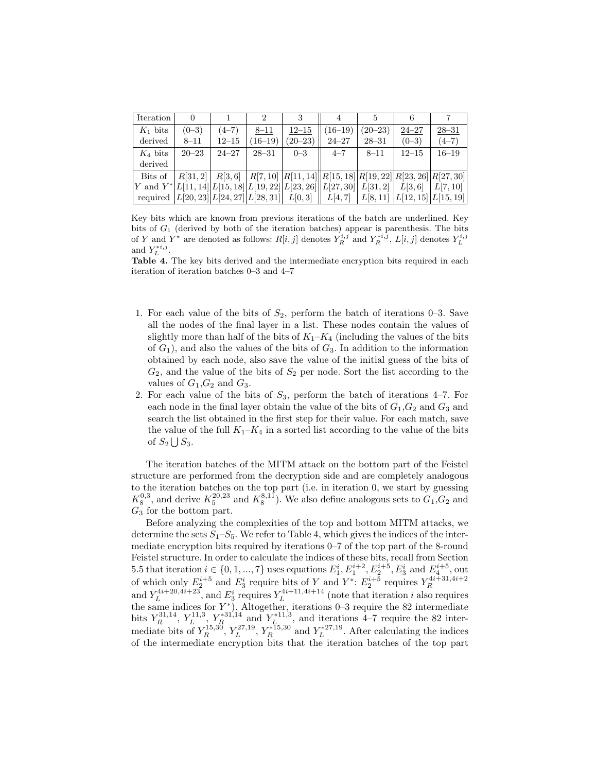| Iteration                                                                              |           |           |           |             |                                                                         |           |           |           |
|----------------------------------------------------------------------------------------|-----------|-----------|-----------|-------------|-------------------------------------------------------------------------|-----------|-----------|-----------|
| $K_1$ bits                                                                             | $(0-3)$   | $(4-7)$   | $8 - 11$  | $12 - 15$   | $(16-19)$                                                               | $(20-23)$ | $24 - 27$ | $28 - 31$ |
| derived                                                                                | $8 - 11$  | $12 - 15$ | $(16-19)$ | $(20 - 23)$ | $24 - 27$                                                               | $28 - 31$ | $(0-3)$   | $(4-7)$   |
| $K_4$ bits                                                                             | $20 - 23$ | $24 - 27$ | $28 - 31$ | $0 - 3$     | $4 - 7$                                                                 | $8 - 11$  | $12 - 15$ | $16 - 19$ |
| derived                                                                                |           |           |           |             |                                                                         |           |           |           |
| Bits of                                                                                |           |           |           |             | $ R[31,2] R[3,6] R[7,10] R[11,14] R[15,18] R[19,22] R[23,26] R[27,30] $ |           |           |           |
| Y and Y* L[11, 14  L[15, 18  L[19, 22  L[23, 26  L[27, 30  L[31, 2] L[3, 6]  L[7, 10]  |           |           |           |             |                                                                         |           |           |           |
| required $ L[20, 23] L[24, 27] L[28, 31] L[0, 3] L[4, 7] L[8, 11] L[12, 15] L[15, 19]$ |           |           |           |             |                                                                         |           |           |           |

Key bits which are known from previous iterations of the batch are underlined. Key bits of  $G_1$  (derived by both of the iteration batches) appear is parenthesis. The bits of Y and Y<sup>\*</sup> are denoted as follows:  $R[i, j]$  denotes  $Y_R^{i,j}$  and  $Y_R^{*i,j}$ ,  $L[i, j]$  denotes  $Y_L^{i,j}$ and  $Y_L^{*i,j}$ .

Table 4. The key bits derived and the intermediate encryption bits required in each iteration of iteration batches 0–3 and 4–7

- 1. For each value of the bits of  $S_2$ , perform the batch of iterations 0–3. Save all the nodes of the final layer in a list. These nodes contain the values of slightly more than half of the bits of  $K_1-K_4$  (including the values of the bits of  $G_1$ ), and also the values of the bits of  $G_3$ . In addition to the information obtained by each node, also save the value of the initial guess of the bits of  $G_2$ , and the value of the bits of  $S_2$  per node. Sort the list according to the values of  $G_1, G_2$  and  $G_3$ .
- 2. For each value of the bits of  $S_3$ , perform the batch of iterations 4–7. For each node in the final layer obtain the value of the bits of  $G_1, G_2$  and  $G_3$  and search the list obtained in the first step for their value. For each match, save the value of the full  $K_1-K_4$  in a sorted list according to the value of the bits of  $S_2 \bigcup S_3$ .

The iteration batches of the MITM attack on the bottom part of the Feistel structure are performed from the decryption side and are completely analogous to the iteration batches on the top part (i.e. in iteration 0, we start by guessing  $K_8^{0,3}$ , and derive  $K_5^{20,23}$  and  $K_8^{8,11}$ ). We also define analogous sets to  $G_1, G_2$  and  $G_3$  for the bottom part.

Before analyzing the complexities of the top and bottom MITM attacks, we determine the sets  $S_1-S_5$ . We refer to Table 4, which gives the indices of the intermediate encryption bits required by iterations 0–7 of the top part of the 8-round Feistel structure. In order to calculate the indices of these bits, recall from Section 5.5 that iteration  $i \in \{0, 1, ..., 7\}$  uses equations  $E_1^i, E_1^{i+2}, E_2^{i+5}, E_3^i$  and  $E_4^{i+5}$ , out of which only  $E_2^{i+5}$  and  $E_3^i$  require bits of Y and  $Y^*$ :  $E_2^{i+5}$  requires  $Y_R^{4i+31,4i+2}$ and  $Y_L^{4i+20,4i+23}$ , and  $E_3^i$  requires  $Y_L^{4i+11,4i+14}$  (note that iteration *i* also requires the same indices for  $Y^*$ ). Altogether, iterations 0–3 require the 82 intermediate bits  $Y_R^{31,14}$ ,  $Y_L^{11,3}$ ,  $Y_R^{*31,14}$  and  $Y_L^{*11,3}$ , and iterations 4–7 require the 82 intermediate bits of  $Y_R^{15,30}$ ,  $Y_L^{27,19}$ ,  $Y_R^{*15,30}$  and  $Y_L^{*27,19}$ . After calculating the indices of the intermediate encryption bits that the iteration batches of the top part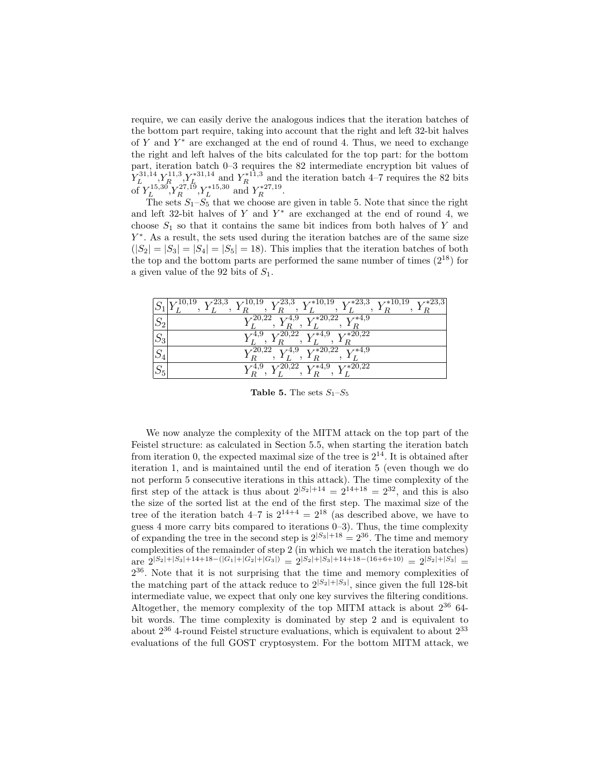require, we can easily derive the analogous indices that the iteration batches of the bottom part require, taking into account that the right and left 32-bit halves of  $Y$  and  $Y^*$  are exchanged at the end of round 4. Thus, we need to exchange the right and left halves of the bits calculated for the top part: for the bottom part, iteration batch 0–3 requires the 82 intermediate encryption bit values of  $Y_L^{31,14}, Y_R^{11,3}, Y_R^{*31,14}$  and  $Y_R^{*11,3}$  and the iteration batch 4–7 requires the 82 bits of  $Y_L^{15,30}$ ,  $Y_R^{27,19}$ ,  $Y_L^{*15,30}$  and  $Y_R^{*27,19}$ .

The sets  $S_1-S_5$  that we choose are given in table 5. Note that since the right and left 32-bit halves of  $Y$  and  $Y^*$  are exchanged at the end of round 4, we choose  $S_1$  so that it contains the same bit indices from both halves of Y and Y ∗ . As a result, the sets used during the iteration batches are of the same size  $(|S_2| = |S_3| = |S_4| = |S_5| = 18$ . This implies that the iteration batches of both the top and the bottom parts are performed the same number of times  $(2^{18})$  for a given value of the 92 bits of  $S_1$ .

|                                    | $x*23,3$<br>$\overline{V^{10,19}~~V^{23,3}}~~V^{10,19}~~V^{23,3}~~V^{*10,19}~~V^{*23,3}~~V^{*10,19}$<br>$I_R$ , $I_L$<br>$\overline{A}$ R<br>$\overline{R}$<br>R.<br>$\mathcal{L}$ |
|------------------------------------|------------------------------------------------------------------------------------------------------------------------------------------------------------------------------------|
| $\mathcal{C}^r$<br>$\mathcal{D}2$  | $Y_L^{20,22}, Y_R^{4,9}, Y_L^{*20,22}, Y_R^{*4,9}$                                                                                                                                 |
| $\mathcal{C}^r$                    | $V^{20,22}$<br>$V^{*4,9}$ $V^{*20,\overline{22}}$                                                                                                                                  |
| $\mathcal{C}^r$<br>$\mathcal{D}_4$ | $V^{20,22}$ $V^{4,9}$ .<br>$V^{*20,22}$ $V^{*4,9}$                                                                                                                                 |
| $\alpha$                           | $V^{20,22}$ $V^{*4,9}$ $V^{*20,22}$<br>$x^{4,9}$                                                                                                                                   |

**Table 5.** The sets  $S_1-S_5$ 

We now analyze the complexity of the MITM attack on the top part of the Feistel structure: as calculated in Section 5.5, when starting the iteration batch from iteration 0, the expected maximal size of the tree is  $2^{14}$ . It is obtained after iteration 1, and is maintained until the end of iteration 5 (even though we do not perform 5 consecutive iterations in this attack). The time complexity of the first step of the attack is thus about  $2^{|S_2|+14} = 2^{14+18} = 2^{32}$ , and this is also the size of the sorted list at the end of the first step. The maximal size of the tree of the iteration batch  $4-7$  is  $2^{14+4} = 2^{18}$  (as described above, we have to guess 4 more carry bits compared to iterations  $(0-3)$ . Thus, the time complexity of expanding the tree in the second step is  $2^{|S_3|+18} = 2^{36}$ . The time and memory complexities of the remainder of step 2 (in which we match the iteration batches) are  $2^{|S_2|+|S_3|+14+18-(|G_1|+|G_2|+|G_3|)} = 2^{|S_2|+|S_3|+14+18- (16+6+10)} = 2^{|S_2|+|S_3|} =$ 2 <sup>36</sup>. Note that it is not surprising that the time and memory complexities of the matching part of the attack reduce to  $2^{|S_2|+|S_3|}$ , since given the full 128-bit intermediate value, we expect that only one key survives the filtering conditions. Altogether, the memory complexity of the top MITM attack is about  $2^{36}$  64bit words. The time complexity is dominated by step 2 and is equivalent to about  $2^{36}$  4-round Feistel structure evaluations, which is equivalent to about  $2^{33}$ evaluations of the full GOST cryptosystem. For the bottom MITM attack, we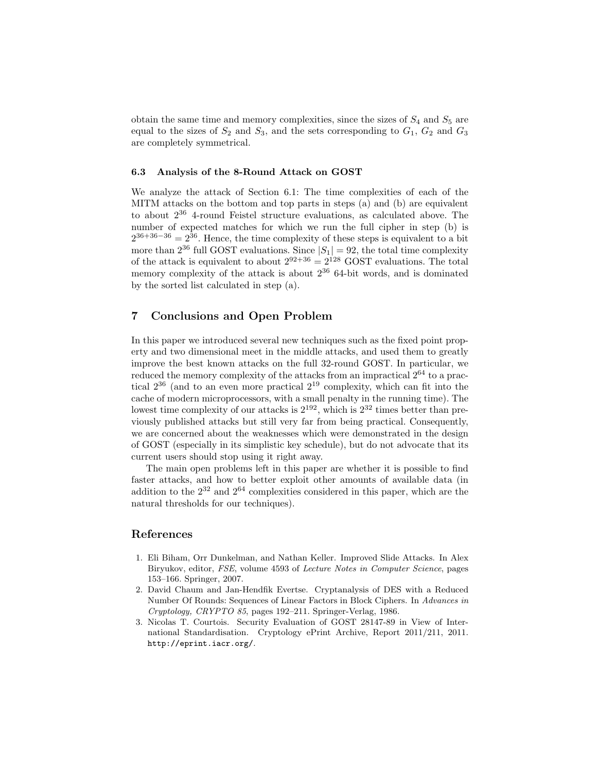obtain the same time and memory complexities, since the sizes of  $S_4$  and  $S_5$  are equal to the sizes of  $S_2$  and  $S_3$ , and the sets corresponding to  $G_1$ ,  $G_2$  and  $G_3$ are completely symmetrical.

#### 6.3 Analysis of the 8-Round Attack on GOST

We analyze the attack of Section 6.1: The time complexities of each of the MITM attacks on the bottom and top parts in steps (a) and (b) are equivalent to about 2<sup>36</sup> 4-round Feistel structure evaluations, as calculated above. The number of expected matches for which we run the full cipher in step (b) is  $2^{36+36-36} = 2^{36}$ . Hence, the time complexity of these steps is equivalent to a bit more than  $2^{36}$  full GOST evaluations. Since  $|S_1| = 92$ , the total time complexity of the attack is equivalent to about  $2^{92+36} = 2^{128}$  GOST evaluations. The total memory complexity of the attack is about  $2^{36}$  64-bit words, and is dominated by the sorted list calculated in step (a).

## 7 Conclusions and Open Problem

In this paper we introduced several new techniques such as the fixed point property and two dimensional meet in the middle attacks, and used them to greatly improve the best known attacks on the full 32-round GOST. In particular, we reduced the memory complexity of the attacks from an impractical  $2^{64}$  to a practical  $2^{36}$  (and to an even more practical  $2^{19}$  complexity, which can fit into the cache of modern microprocessors, with a small penalty in the running time). The lowest time complexity of our attacks is  $2^{192}$ , which is  $2^{32}$  times better than previously published attacks but still very far from being practical. Consequently, we are concerned about the weaknesses which were demonstrated in the design of GOST (especially in its simplistic key schedule), but do not advocate that its current users should stop using it right away.

The main open problems left in this paper are whether it is possible to find faster attacks, and how to better exploit other amounts of available data (in addition to the  $2^{32}$  and  $2^{64}$  complexities considered in this paper, which are the natural thresholds for our techniques).

#### References

- 1. Eli Biham, Orr Dunkelman, and Nathan Keller. Improved Slide Attacks. In Alex Biryukov, editor, FSE, volume 4593 of Lecture Notes in Computer Science, pages 153–166. Springer, 2007.
- 2. David Chaum and Jan-Hendfik Evertse. Cryptanalysis of DES with a Reduced Number Of Rounds: Sequences of Linear Factors in Block Ciphers. In Advances in Cryptology, CRYPTO 85, pages 192–211. Springer-Verlag, 1986.
- 3. Nicolas T. Courtois. Security Evaluation of GOST 28147-89 in View of International Standardisation. Cryptology ePrint Archive, Report 2011/211, 2011. http://eprint.iacr.org/.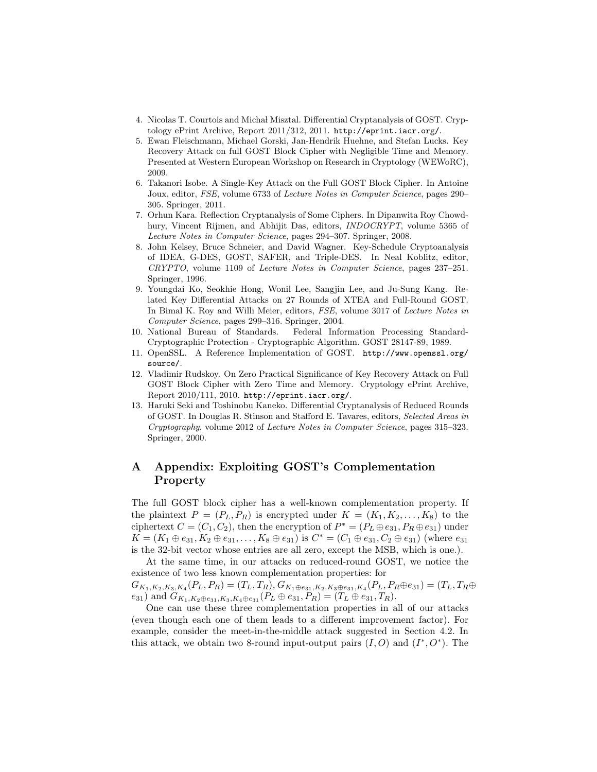- 4. Nicolas T. Courtois and Michał Misztal. Differential Cryptanalysis of GOST. Cryptology ePrint Archive, Report 2011/312, 2011. http://eprint.iacr.org/.
- 5. Ewan Fleischmann, Michael Gorski, Jan-Hendrik Huehne, and Stefan Lucks. Key Recovery Attack on full GOST Block Cipher with Negligible Time and Memory. Presented at Western European Workshop on Research in Cryptology (WEWoRC), 2009.
- 6. Takanori Isobe. A Single-Key Attack on the Full GOST Block Cipher. In Antoine Joux, editor, FSE, volume 6733 of Lecture Notes in Computer Science, pages 290– 305. Springer, 2011.
- 7. Orhun Kara. Reflection Cryptanalysis of Some Ciphers. In Dipanwita Roy Chowdhury, Vincent Rijmen, and Abhijit Das, editors, INDOCRYPT, volume 5365 of Lecture Notes in Computer Science, pages 294–307. Springer, 2008.
- 8. John Kelsey, Bruce Schneier, and David Wagner. Key-Schedule Cryptoanalysis of IDEA, G-DES, GOST, SAFER, and Triple-DES. In Neal Koblitz, editor, CRYPTO, volume 1109 of Lecture Notes in Computer Science, pages 237–251. Springer, 1996.
- 9. Youngdai Ko, Seokhie Hong, Wonil Lee, Sangjin Lee, and Ju-Sung Kang. Related Key Differential Attacks on 27 Rounds of XTEA and Full-Round GOST. In Bimal K. Roy and Willi Meier, editors, FSE, volume 3017 of Lecture Notes in Computer Science, pages 299–316. Springer, 2004.
- 10. National Bureau of Standards. Federal Information Processing Standard-Cryptographic Protection - Cryptographic Algorithm. GOST 28147-89, 1989.
- 11. OpenSSL. A Reference Implementation of GOST. http://www.openssl.org/ source/.
- 12. Vladimir Rudskoy. On Zero Practical Significance of Key Recovery Attack on Full GOST Block Cipher with Zero Time and Memory. Cryptology ePrint Archive, Report 2010/111, 2010. http://eprint.iacr.org/.
- 13. Haruki Seki and Toshinobu Kaneko. Differential Cryptanalysis of Reduced Rounds of GOST. In Douglas R. Stinson and Stafford E. Tavares, editors, Selected Areas in Cryptography, volume 2012 of Lecture Notes in Computer Science, pages 315–323. Springer, 2000.

# A Appendix: Exploiting GOST's Complementation Property

The full GOST block cipher has a well-known complementation property. If the plaintext  $P = (P_L, P_R)$  is encrypted under  $K = (K_1, K_2, \ldots, K_8)$  to the ciphertext  $C = (C_1, C_2)$ , then the encryption of  $P^* = (P_L \oplus e_{31}, P_R \oplus e_{31})$  under  $K = (K_1 \oplus e_{31}, K_2 \oplus e_{31}, \ldots, K_8 \oplus e_{31})$  is  $C^* = (C_1 \oplus e_{31}, C_2 \oplus e_{31})$  (where  $e_{31}$ is the 32-bit vector whose entries are all zero, except the MSB, which is one.).

At the same time, in our attacks on reduced-round GOST, we notice the existence of two less known complementation properties: for  $G_{K_1, K_2, K_3, K_4}(P_L, P_R) = (T_L, T_R), G_{K_1 \oplus e_{31}, K_2, K_3 \oplus e_{31}, K_4}(P_L, P_R \oplus e_{31}) = (T_L, T_R \oplus$ 

e<sub>31</sub>) and  $G_{K_1,K_2\oplus e_{31},K_3,K_4\oplus e_{31}}(P_L \oplus e_{31}, P_R) = (T_L \oplus e_{31}, T_R).$ 

One can use these three complementation properties in all of our attacks (even though each one of them leads to a different improvement factor). For example, consider the meet-in-the-middle attack suggested in Section 4.2. In this attack, we obtain two 8-round input-output pairs  $(I, O)$  and  $(I^*, O^*)$ . The